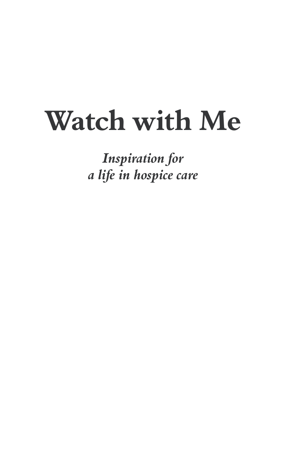# **Watch with Me**

*Inspiration for a life in hospice care*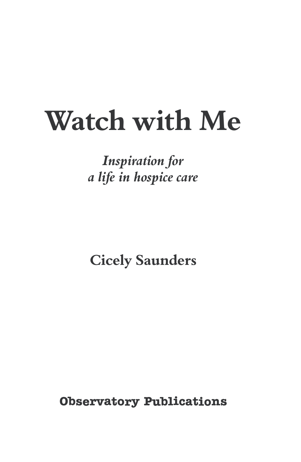# **Watch with Me**

**Inspiration for** a life in hospice care

**Cicely Saunders** 

**Observatory Publications**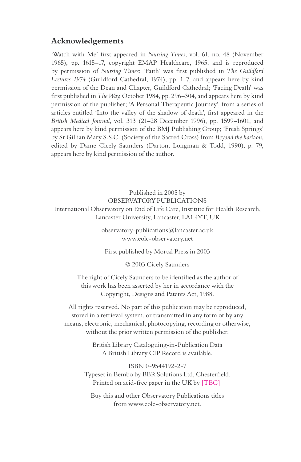## **Acknowledgements**

'Watch with Me' first appeared in *Nursing Times*, vol. 61, no. 48 (November 1965), pp. 1615–17, copyright EMAP Healthcare, 1965, and is reproduced by permission of *Nursing Times*; 'Faith' was first published in *The Guildford Lectures 1974* (Guildford Cathedral, 1974), pp. 1–7, and appears here by kind permission of the Dean and Chapter, Guildford Cathedral; 'Facing Death' was first published in *The Way*, October 1984, pp. 296–304, and appears here by kind permission of the publisher; 'A Personal Therapeutic Journey', from a series of articles entitled 'Into the valley of the shadow of death', first appeared in the *British Medical Journal*, vol. 313 (21–28 December 1996), pp. 1599–1601, and appears here by kind permission of the BMJ Publishing Group; 'Fresh Springs' by Sr Gillian Mary S.S.C. (Society of the Sacred Cross) from *Beyond the horizon*, edited by Dame Cicely Saunders (Darton, Longman & Todd, 1990), p. 79, appears here by kind permission of the author.

Published in 2005 by OBSERVATORY PUBLICATIONS International Observatory on End of Life Care, Institute for Health Research, Lancaster University, Lancaster, LA1 4YT, UK

> observatory-publications@lancaster.ac.uk www.eolc-observatory.net

First published by Mortal Press in 2003

© 2003 Cicely Saunders

The right of Cicely Saunders to be identified as the author of this work has been asserted by her in accordance with the Copyright, Designs and Patents Act, 1988.

All rights reserved. No part of this publication may be reproduced, stored in a retrieval system, or transmitted in any form or by any means, electronic, mechanical, photocopying, recording or otherwise, without the prior written permission of the publisher.

> British Library Cataloguing-in-Publication Data A British Library CIP Record is available.

ISBN 0-9544192-2-7 Typeset in Bembo by BBR Solutions Ltd, Chesterfield. Printed on acid-free paper in the UK by [TBC].

Buy this and other Observatory Publications titles from www.eolc-observatory.net.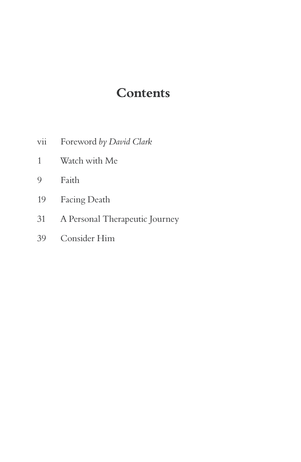## **Contents**

- vii Foreword *by David Clark*
- Watch with Me
- Faith
- Facing Death
- A Personal Therapeutic Journey
- Consider Him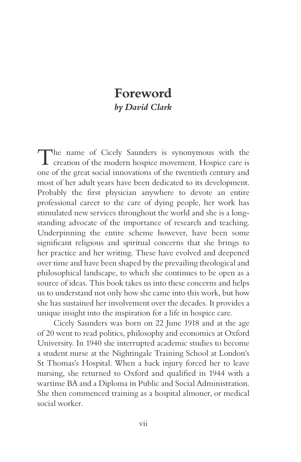## **Foreword** *by David Clark*

The name of Cicely Saunders is synonymous with the **L** creation of the modern hospice movement. Hospice care is one of the great social innovations of the twentieth century and most of her adult years have been dedicated to its development. Probably the first physician anywhere to devote an entire professional career to the care of dying people, her work has stimulated new services throughout the world and she is a longstanding advocate of the importance of research and teaching. Underpinning the entire scheme however, have been some significant religious and spiritual concerns that she brings to her practice and her writing. These have evolved and deepened over time and have been shaped by the prevailing theological and philosophical landscape, to which she continues to be open as a source of ideas. This book takes us into these concerns and helps us to understand not only how she came into this work, but how she has sustained her involvement over the decades. It provides a unique insight into the inspiration for a life in hospice care.

Cicely Saunders was born on 22 June 1918 and at the age of 20 went to read politics, philosophy and economics at Oxford University. In 1940 she interrupted academic studies to become a student nurse at the Nightingale Training School at London's St Thomas's Hospital. When a back injury forced her to leave nursing, she returned to Oxford and qualified in 1944 with a wartime BA and a Diploma in Public and Social Administration. She then commenced training as a hospital almoner, or medical social worker.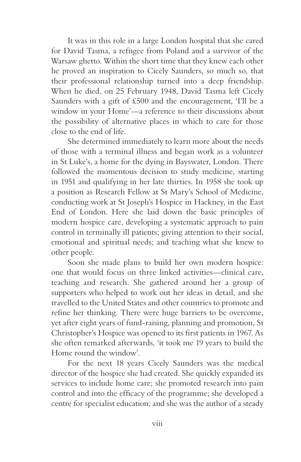It was in this role in a large London hospital that she cared for David Tasma, a refugee from Poland and a survivor of the Warsaw ghetto. Within the short time that they knew each other he proved an inspiration to Cicely Saunders, so much so, that their professional relationship turned into a deep friendship. When he died, on 25 February 1948, David Tasma left Cicely Saunders with a gift of £500 and the encouragement, 'I'll be a window in your Home'—a reference to their discussions about the possibility of alternative places in which to care for those close to the end of life.

She determined immediately to learn more about the needs of those with a terminal illness and began work as a volunteer in St Luke's, a home for the dying in Bayswater, London. There followed the momentous decision to study medicine, starting in 1951 and qualifying in her late thirties. In 1958 she took up a position as Research Fellow at St Mary's School of Medicine, conducting work at St Joseph's Hospice in Hackney, in the East End of London. Here she laid down the basic principles of modern hospice care, developing a systematic approach to pain control in terminally ill patients; giving attention to their social, emotional and spiritual needs; and teaching what she knew to other people.

Soon she made plans to build her own modern hospice: one that would focus on three linked activities—clinical care, teaching and research. She gathered around her a group of supporters who helped to work out her ideas in detail, and she travelled to the United States and other countries to promote and refine her thinking. There were huge barriers to be overcome, yet after eight years of fund-raising, planning and promotion, St Christopher's Hospice was opened to its first patients in 1967. As she often remarked afterwards, 'it took me 19 years to build the Home round the window'.

For the next 18 years Cicely Saunders was the medical director of the hospice she had created. She quickly expanded its services to include home care; she promoted research into pain control and into the efficacy of the programme; she developed a centre for specialist education; and she was the author of a steady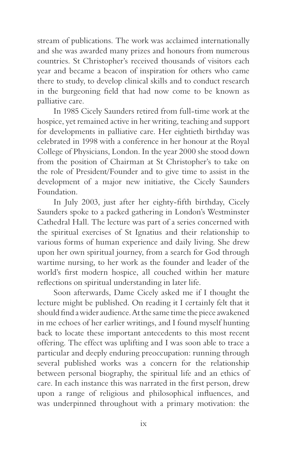stream of publications. The work was acclaimed internationally and she was awarded many prizes and honours from numerous countries. St Christopher's received thousands of visitors each year and became a beacon of inspiration for others who came there to study, to develop clinical skills and to conduct research in the burgeoning field that had now come to be known as palliative care.

In 1985 Cicely Saunders retired from full-time work at the hospice, yet remained active in her writing, teaching and support for developments in palliative care. Her eightieth birthday was celebrated in 1998 with a conference in her honour at the Royal College of Physicians, London. In the year 2000 she stood down from the position of Chairman at St Christopher's to take on the role of President/Founder and to give time to assist in the development of a major new initiative, the Cicely Saunders Foundation.

In July 2003, just after her eighty-fifth birthday, Cicely Saunders spoke to a packed gathering in London's Westminster Cathedral Hall. The lecture was part of a series concerned with the spiritual exercises of St Ignatius and their relationship to various forms of human experience and daily living. She drew upon her own spiritual journey, from a search for God through wartime nursing, to her work as the founder and leader of the world's first modern hospice, all couched within her mature reflections on spiritual understanding in later life.

Soon afterwards, Dame Cicely asked me if I thought the lecture might be published. On reading it I certainly felt that it should find a wider audience. At the same time the piece awakened in me echoes of her earlier writings, and I found myself hunting back to locate these important antecedents to this most recent offering. The effect was uplifting and I was soon able to trace a particular and deeply enduring preoccupation: running through several published works was a concern for the relationship between personal biography, the spiritual life and an ethics of care. In each instance this was narrated in the first person, drew upon a range of religious and philosophical influences, and was underpinned throughout with a primary motivation: the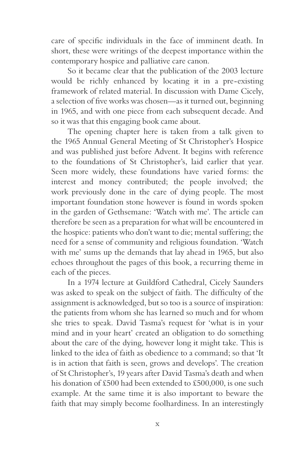care of specific individuals in the face of imminent death. In short, these were writings of the deepest importance within the contemporary hospice and palliative care canon.

So it became clear that the publication of the 2003 lecture would be richly enhanced by locating it in a pre-existing framework of related material. In discussion with Dame Cicely, a selection of five works was chosen—as it turned out, beginning in 1965, and with one piece from each subsequent decade. And so it was that this engaging book came about.

The opening chapter here is taken from a talk given to the 1965 Annual General Meeting of St Christopher's Hospice and was published just before Advent. It begins with reference to the foundations of St Christopher's, laid earlier that year. Seen more widely, these foundations have varied forms: the interest and money contributed; the people involved; the work previously done in the care of dying people. The most important foundation stone however is found in words spoken in the garden of Gethsemane: 'Watch with me'. The article can therefore be seen as a preparation for what will be encountered in the hospice: patients who don't want to die; mental suffering; the need for a sense of community and religious foundation. 'Watch with me' sums up the demands that lay ahead in 1965, but also echoes throughout the pages of this book, a recurring theme in each of the pieces.

In a 1974 lecture at Guildford Cathedral, Cicely Saunders was asked to speak on the subject of faith. The difficulty of the assignment is acknowledged, but so too is a source of inspiration: the patients from whom she has learned so much and for whom she tries to speak. David Tasma's request for 'what is in your mind and in your heart' created an obligation to do something about the care of the dying, however long it might take. This is linked to the idea of faith as obedience to a command; so that 'It is in action that faith is seen, grows and develops'. The creation of St Christopher's, 19 years after David Tasma's death and when his donation of £500 had been extended to £500,000, is one such example. At the same time it is also important to beware the faith that may simply become foolhardiness. In an interestingly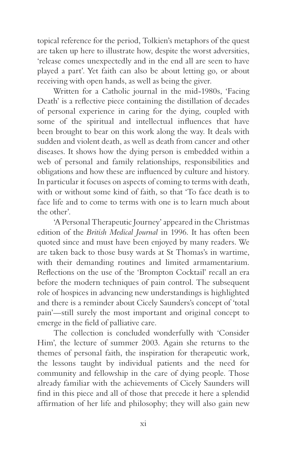topical reference for the period, Tolkien's metaphors of the quest are taken up here to illustrate how, despite the worst adversities, 'release comes unexpectedly and in the end all are seen to have played a part'. Yet faith can also be about letting go, or about receiving with open hands, as well as being the giver.

Written for a Catholic journal in the mid-1980s, 'Facing Death' is a reflective piece containing the distillation of decades of personal experience in caring for the dying, coupled with some of the spiritual and intellectual influences that have been brought to bear on this work along the way. It deals with sudden and violent death, as well as death from cancer and other diseases. It shows how the dying person is embedded within a web of personal and family relationships, responsibilities and obligations and how these are influenced by culture and history. In particular it focuses on aspects of coming to terms with death, with or without some kind of faith, so that 'To face death is to face life and to come to terms with one is to learn much about the other'.

'A Personal Therapeutic Journey' appeared in the Christmas edition of the *British Medical Journal* in 1996. It has often been quoted since and must have been enjoyed by many readers. We are taken back to those busy wards at St Thomas's in wartime, with their demanding routines and limited armamentarium. Reflections on the use of the 'Brompton Cocktail' recall an era before the modern techniques of pain control. The subsequent role of hospices in advancing new understandings is highlighted and there is a reminder about Cicely Saunders's concept of 'total pain'—still surely the most important and original concept to emerge in the field of palliative care.

The collection is concluded wonderfully with 'Consider Him', the lecture of summer 2003. Again she returns to the themes of personal faith, the inspiration for therapeutic work, the lessons taught by individual patients and the need for community and fellowship in the care of dying people. Those already familiar with the achievements of Cicely Saunders will find in this piece and all of those that precede it here a splendid affirmation of her life and philosophy; they will also gain new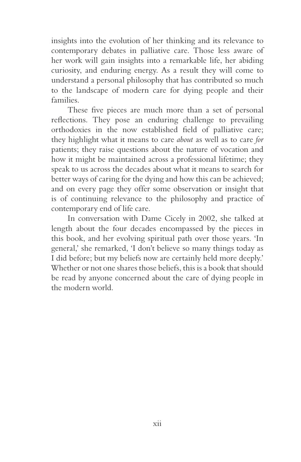insights into the evolution of her thinking and its relevance to contemporary debates in palliative care. Those less aware of her work will gain insights into a remarkable life, her abiding curiosity, and enduring energy. As a result they will come to understand a personal philosophy that has contributed so much to the landscape of modern care for dying people and their families.

These five pieces are much more than a set of personal reflections. They pose an enduring challenge to prevailing orthodoxies in the now established field of palliative care; they highlight what it means to care *about* as well as to care *for* patients; they raise questions about the nature of vocation and how it might be maintained across a professional lifetime; they speak to us across the decades about what it means to search for better ways of caring for the dying and how this can be achieved; and on every page they offer some observation or insight that is of continuing relevance to the philosophy and practice of contemporary end of life care.

In conversation with Dame Cicely in 2002, she talked at length about the four decades encompassed by the pieces in this book, and her evolving spiritual path over those years. 'In general,' she remarked, 'I don't believe so many things today as I did before; but my beliefs now are certainly held more deeply.' Whether or not one shares those beliefs, this is a book that should be read by anyone concerned about the care of dying people in the modern world.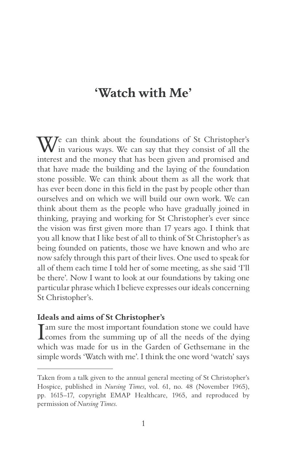## **'Watch with Me'**

W Je can think about the foundations of St Christopher's  $\boldsymbol{N}$  in various ways. We can say that they consist of all the interest and the money that has been given and promised and that have made the building and the laying of the foundation stone possible. We can think about them as all the work that has ever been done in this field in the past by people other than ourselves and on which we will build our own work. We can think about them as the people who have gradually joined in thinking, praying and working for St Christopher's ever since the vision was first given more than 17 years ago. I think that you all know that I like best of all to think of St Christopher's as being founded on patients, those we have known and who are now safely through this part of their lives. One used to speak for all of them each time I told her of some meeting, as she said 'I'll be there'. Now I want to look at our foundations by taking one particular phrase which I believe expresses our ideals concerning St Christopher's.

## **Ideals and aims of St Christopher's**

I am sure the most important foundation stone we could have comes from the summing up of all the needs of the dying which was made for us in the Garden of Gethsemane in the simple words 'Watch with me'. I think the one word 'watch' says

Taken from a talk given to the annual general meeting of St Christopher's Hospice, published in *Nursing Times*, vol. 61, no. 48 (November 1965), pp. 1615–17, copyright EMAP Healthcare, 1965, and reproduced by permission of *Nursing Times*.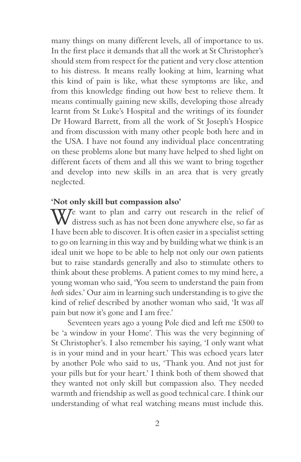many things on many different levels, all of importance to us. In the first place it demands that all the work at St Christopher's should stem from respect for the patient and very close attention to his distress. It means really looking at him, learning what this kind of pain is like, what these symptoms are like, and from this knowledge finding out how best to relieve them. It means continually gaining new skills, developing those already learnt from St Luke's Hospital and the writings of its founder Dr Howard Barrett, from all the work of St Joseph's Hospice and from discussion with many other people both here and in the USA. I have not found any individual place concentrating on these problems alone but many have helped to shed light on different facets of them and all this we want to bring together and develop into new skills in an area that is very greatly neglected.

## **'Not only skill but compassion also'**

We want to plan and carry out research in the relief of  ${\cal N}$  distress such as has not been done anywhere else, so far as I have been able to discover. It is often easier in a specialist setting to go on learning in this way and by building what we think is an ideal unit we hope to be able to help not only our own patients but to raise standards generally and also to stimulate others to think about these problems. A patient comes to my mind here, a young woman who said, 'You seem to understand the pain from *both* sides.' Our aim in learning such understanding is to give the kind of relief described by another woman who said, 'It was *all*  pain but now it's gone and I am free.'

Seventeen years ago a young Pole died and left me £500 to be 'a window in your Home'. This was the very beginning of St Christopher's. I also remember his saying, 'I only want what is in your mind and in your heart.' This was echoed years later by another Pole who said to us, 'Thank you. And not just for your pills but for your heart.' I think both of them showed that they wanted not only skill but compassion also. They needed warmth and friendship as well as good technical care. I think our understanding of what real watching means must include this.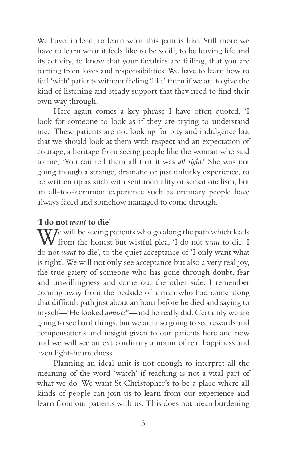We have, indeed, to learn what this pain is like. Still more we have to learn what it feels like to be so ill, to be leaving life and its activity, to know that your faculties are failing, that you are parting from loves and responsibilities. We have to learn how to feel 'with' patients without feeling 'like' them if we are to give the kind of listening and steady support that they need to find their own way through.

Here again comes a key phrase I have often quoted, 'I look for someone to look as if they are trying to understand me.' These patients are not looking for pity and indulgence but that we should look at them with respect and an expectation of courage, a heritage from seeing people like the woman who said to me, 'You can tell them all that it was *all right*.' She was not going though a strange, dramatic or just unlucky experience, to be written up as such with sentimentality or sensationalism, but an all-too-common experience such as ordinary people have always faced and somehow managed to come through.

#### **'I do not** *want* **to die'**

We will be seeing patients who go along the path which leads from the honest but wistful plea, 'I do not *want* to die, I do not *want* to die', to the quiet acceptance of 'I only want what is right'. We will not only see acceptance but also a very real joy, the true gaiety of someone who has gone through doubt, fear and unwillingness and come out the other side. I remember coming away from the bedside of a man who had come along that difficult path just about an hour before he died and saying to myself—'He looked *amused*'—and he really did. Certainly we are going to see hard things, but we are also going to see rewards and compensations and insight given to our patients here and now and we will see an extraordinary amount of real happiness and even light-heartedness.

Planning an ideal unit is not enough to interpret all the meaning of the word 'watch' if teaching is not a vital part of what we do. We want St Christopher's to be a place where all kinds of people can join us to learn from our experience and learn from our patients with us. This does not mean burdening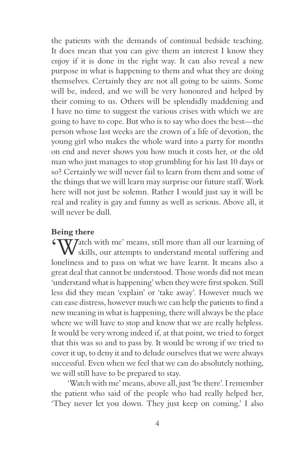the patients with the demands of continual bedside teaching. It does mean that you can give them an interest I know they enjoy if it is done in the right way. It can also reveal a new purpose in what is happening to them and what they are doing themselves. Certainly they are not all going to be saints. Some will be, indeed, and we will be very honoured and helped by their coming to us. Others will be splendidly maddening and I have no time to suggest the various crises with which we are going to have to cope. But who is to say who does the best—the person whose last weeks are the crown of a life of devotion, the young girl who makes the whole ward into a party for months on end and never shows you how much it costs her, or the old man who just manages to stop grumbling for his last 10 days or so? Certainly we will never fail to learn from them and some of the things that we will learn may surprise our future staff. Work here will not just be solemn. Rather I would just say it will be real and reality is gay and funny as well as serious. Above all, it will never be dull.

## **Being there**

'Watch with me' means, still more than all our learning of  $\mathcal N$  skills, our attempts to understand mental suffering and loneliness and to pass on what we have learnt. It means also a great deal that cannot be understood. Those words did not mean 'understand what is happening' when they were first spoken. Still less did they mean 'explain' or 'take away'. However much we can ease distress, however much we can help the patients to find a new meaning in what is happening, there will always be the place where we will have to stop and know that we are really helpless. It would be very wrong indeed if, at that point, we tried to forget that this was so and to pass by. It would be wrong if we tried to cover it up, to deny it and to delude ourselves that we were always successful. Even when we feel that we can do absolutely nothing, we will still have to be prepared to stay.

'Watch with me' means, above all, just 'be there'. I remember the patient who said of the people who had really helped her, 'They never let you down. They just keep on coming.' I also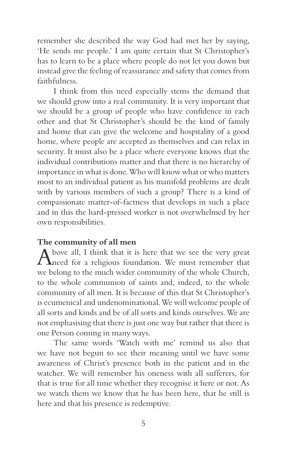remember she described the way God had met her by saying, 'He sends me people.' I am quite certain that St Christopher's has to learn to be a place where people do not let you down but instead give the feeling of reassurance and safety that comes from faithfulness.

I think from this need especially stems the demand that we should grow into a real community. It is very important that we should be a group of people who have confidence in each other and that St Christopher's should be the kind of family and home that can give the welcome and hospitality of a good home, where people are accepted as themselves and can relax in security. It must also be a place where everyone knows that the individual contributions matter and that there is no hierarchy of importance in what is done. Who will know what or who matters most to an individual patient as his manifold problems are dealt with by various members of such a group? There is a kind of compassionate matter-of-factness that develops in such a place and in this the hard-pressed worker is not overwhelmed by her own responsibilities.

#### **The community of all men**

Above all, I think that it is here that we see the very great anneed for a religious foundation. We must remember that we belong to the much wider community of the whole Church, to the whole communion of saints and, indeed, to the whole community of all men. It is because of this that St Christopher's is ecumenical and undenominational. We will welcome people of all sorts and kinds and be of all sorts and kinds ourselves. We are not emphasising that there is just one way but rather that there is one Person coming in many ways.

The same words 'Watch with me' remind us also that we have not begun to see their meaning until we have some awareness of Christ's presence both in the patient and in the watcher. We will remember his oneness with all sufferers, for that is true for all time whether they recognise it here or not. As we watch them we know that he has been here, that he still is here and that his presence is redemptive.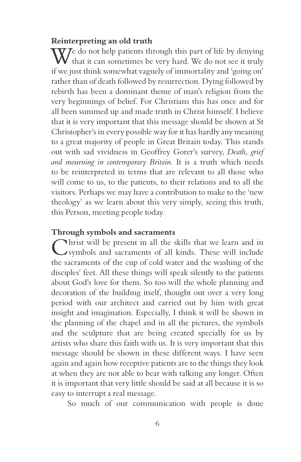#### **Reinterpreting an old truth**

 $\nabla$  *T*e do not help patients through this part of life by denying that it can sometimes be very hard. We do not see it truly if we just think somewhat vaguely of immortality and 'going on' rather than of death followed by resurrection. Dying followed by rebirth has been a dominant theme of man's religion from the very beginnings of belief. For Christians this has once and for all been summed up and made truth in Christ himself. I believe that it is very important that this message should be shown at St Christopher's in every possible way for it has hardly any meaning to a great majority of people in Great Britain today. This stands out with sad vividness in Geoffrey Gorer's survey, *Death, grief and mourning in contemporary Britain*. It is a truth which needs to be reinterpreted in terms that are relevant to all those who will come to us, to the patients, to their relations and to all the visitors. Perhaps we may have a contribution to make to the 'new theology' as we learn about this very simply, seeing this truth, this Person, meeting people today.

#### **Through symbols and sacraments**

Christ will be present in all the skills that we learn and in symbols and sacraments of all kinds. These will include the sacraments of the cup of cold water and the washing of the disciples' feet. All these things will speak silently to the patients about God's love for them. So too will the whole planning and decoration of the building itself, thought out over a very long period with our architect and carried out by him with great insight and imagination. Especially, I think it will be shown in the planning of the chapel and in all the pictures, the symbols and the sculpture that are being created specially for us by artists who share this faith with us. It is very important that this message should be shown in these different ways. I have seen again and again how receptive patients are to the things they look at when they are not able to bear with talking any longer. Often it is important that very little should be said at all because it is so easy to interrupt a real message.

So much of our communication with people is done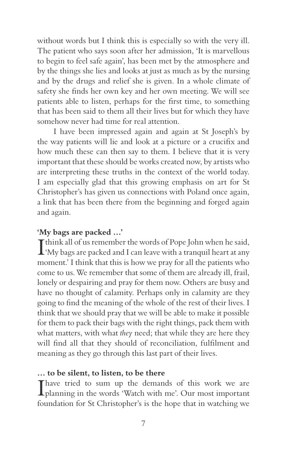without words but I think this is especially so with the very ill. The patient who says soon after her admission, 'It is marvellous to begin to feel safe again', has been met by the atmosphere and by the things she lies and looks at just as much as by the nursing and by the drugs and relief she is given. In a whole climate of safety she finds her own key and her own meeting. We will see patients able to listen, perhaps for the first time, to something that has been said to them all their lives but for which they have somehow never had time for real attention.

I have been impressed again and again at St Joseph's by the way patients will lie and look at a picture or a crucifix and how much these can then say to them. I believe that it is very important that these should be works created now, by artists who are interpreting these truths in the context of the world today. I am especially glad that this growing emphasis on art for St Christopher's has given us connections with Poland once again, a link that has been there from the beginning and forged again and again.

#### **'My bags are packed …'**

Think all of us remember the words of Pope John when he said, 'My bags are packed and I can leave with a tranquil heart at any moment.' I think that this is how we pray for all the patients who come to us. We remember that some of them are already ill, frail, lonely or despairing and pray for them now. Others are busy and have no thought of calamity. Perhaps only in calamity are they going to find the meaning of the whole of the rest of their lives. I think that we should pray that we will be able to make it possible for them to pack their bags with the right things, pack them with what matters, with what *they* need; that while they are here they will find all that they should of reconciliation, fulfilment and meaning as they go through this last part of their lives.

## **… to be silent, to listen, to be there**

I have tried to sum up the demands of this work we are planning in the words 'Watch with me'. Our most important foundation for St Christopher's is the hope that in watching we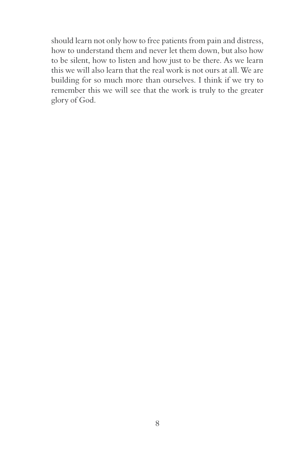should learn not only how to free patients from pain and distress, how to understand them and never let them down, but also how to be silent, how to listen and how just to be there. As we learn this we will also learn that the real work is not ours at all. We are building for so much more than ourselves. I think if we try to remember this we will see that the work is truly to the greater glory of God.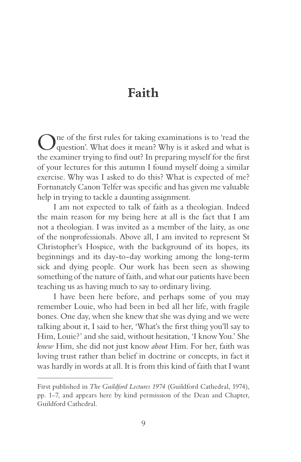## **Faith**

ne of the first rules for taking examinations is to 'read the question'. What does it mean? Why is it asked and what is the examiner trying to find out? In preparing myself for the first of your lectures for this autumn I found myself doing a similar exercise. Why was I asked to do this? What is expected of me? Fortunately Canon Telfer was specific and has given me valuable help in trying to tackle a daunting assignment.

I am not expected to talk of faith as a theologian. Indeed the main reason for my being here at all is the fact that I am not a theologian. I was invited as a member of the laity, as one of the nonprofessionals. Above all, I am invited to represent St Christopher's Hospice, with the background of its hopes, its beginnings and its day-to-day working among the long-term sick and dying people. Our work has been seen as showing something of the nature of faith, and what our patients have been teaching us as having much to say to ordinary living.

I have been here before, and perhaps some of you may remember Louie, who had been in bed all her life, with fragile bones. One day, when she knew that she was dying and we were talking about it, I said to her, 'What's the first thing you'll say to Him, Louie?' and she said, without hesitation, 'I know You.' She *knew* Him, she did not just know *about* Him. For her, faith was loving trust rather than belief in doctrine or concepts, in fact it was hardly in words at all. It is from this kind of faith that I want

First published in *The Guildford Lectures 1974* (Guildford Cathedral, 1974), pp. 1–7, and appears here by kind permission of the Dean and Chapter, Guildford Cathedral.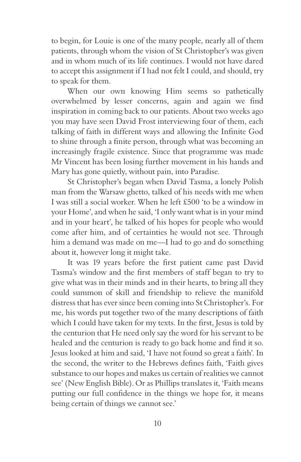to begin, for Louie is one of the many people, nearly all of them patients, through whom the vision of St Christopher's was given and in whom much of its life continues. I would not have dared to accept this assignment if I had not felt I could, and should, try to speak for them.

When our own knowing Him seems so pathetically overwhelmed by lesser concerns, again and again we find inspiration in coming back to our patients. About two weeks ago you may have seen David Frost interviewing four of them, each talking of faith in different ways and allowing the Infinite God to shine through a finite person, through what was becoming an increasingly fragile existence. Since that programme was made Mr Vincent has been losing further movement in his hands and Mary has gone quietly, without pain, into Paradise.

St Christopher's began when David Tasma, a lonely Polish man from the Warsaw ghetto, talked of his needs with me when I was still a social worker. When he left £500 'to be a window in your Home', and when he said, 'I only want what is in your mind and in your heart', he talked of his hopes for people who would come after him, and of certainties he would not see. Through him a demand was made on me—I had to go and do something about it, however long it might take.

It was 19 years before the first patient came past David Tasma's window and the first members of staff began to try to give what was in their minds and in their hearts, to bring all they could summon of skill and friendship to relieve the manifold distress that has ever since been coming into St Christopher's. For me, his words put together two of the many descriptions of faith which I could have taken for my texts. In the first, Jesus is told by the centurion that He need only say the word for his servant to be healed and the centurion is ready to go back home and find it so. Jesus looked at him and said, 'I have not found so great a faith'. In the second, the writer to the Hebrews defines faith, 'Faith gives substance to our hopes and makes us certain of realities we cannot see' (New English Bible). Or as Phillips translates it, 'Faith means putting our full confidence in the things we hope for, it means being certain of things we cannot see.'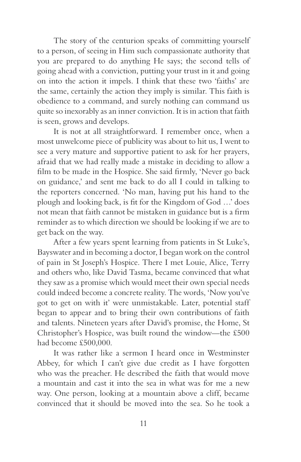The story of the centurion speaks of committing yourself to a person, of seeing in Him such compassionate authority that you are prepared to do anything He says; the second tells of going ahead with a conviction, putting your trust in it and going on into the action it impels. I think that these two 'faiths' are the same, certainly the action they imply is similar. This faith is obedience to a command, and surely nothing can command us quite so inexorably as an inner conviction. It is in action that faith is seen, grows and develops.

It is not at all straightforward. I remember once, when a most unwelcome piece of publicity was about to hit us, I went to see a very mature and supportive patient to ask for her prayers, afraid that we had really made a mistake in deciding to allow a film to be made in the Hospice. She said firmly, 'Never go back on guidance,' and sent me back to do all I could in talking to the reporters concerned. 'No man, having put his hand to the plough and looking back, is fit for the Kingdom of God …' does not mean that faith cannot be mistaken in guidance but is a firm reminder as to which direction we should be looking if we are to get back on the way.

After a few years spent learning from patients in St Luke's, Bayswater and in becoming a doctor, I began work on the control of pain in St Joseph's Hospice. There I met Louie, Alice, Terry and others who, like David Tasma, became convinced that what they saw as a promise which would meet their own special needs could indeed become a concrete reality. The words, 'Now you've got to get on with it' were unmistakable. Later, potential staff began to appear and to bring their own contributions of faith and talents. Nineteen years after David's promise, the Home, St Christopher's Hospice, was built round the window—the £500 had become £500,000.

It was rather like a sermon I heard once in Westminster Abbey, for which I can't give due credit as I have forgotten who was the preacher. He described the faith that would move a mountain and cast it into the sea in what was for me a new way. One person, looking at a mountain above a cliff, became convinced that it should be moved into the sea. So he took a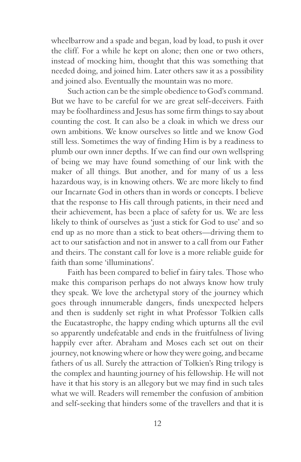wheelbarrow and a spade and began, load by load, to push it over the cliff. For a while he kept on alone; then one or two others, instead of mocking him, thought that this was something that needed doing, and joined him. Later others saw it as a possibility and joined also. Eventually the mountain was no more.

Such action can be the simple obedience to God's command. But we have to be careful for we are great self-deceivers. Faith may be foolhardiness and Jesus has some firm things to say about counting the cost. It can also be a cloak in which we dress our own ambitions. We know ourselves so little and we know God still less. Sometimes the way of finding Him is by a readiness to plumb our own inner depths. If we can find our own wellspring of being we may have found something of our link with the maker of all things. But another, and for many of us a less hazardous way, is in knowing others. We are more likely to find our Incarnate God in others than in words or concepts. I believe that the response to His call through patients, in their need and their achievement, has been a place of safety for us. We are less likely to think of ourselves as 'just a stick for God to use' and so end up as no more than a stick to beat others—driving them to act to our satisfaction and not in answer to a call from our Father and theirs. The constant call for love is a more reliable guide for faith than some 'illuminations'.

Faith has been compared to belief in fairy tales. Those who make this comparison perhaps do not always know how truly they speak. We love the archetypal story of the journey which goes through innumerable dangers, finds unexpected helpers and then is suddenly set right in what Professor Tolkien calls the Eucatastrophe, the happy ending which upturns all the evil so apparently undefeatable and ends in the fruitfulness of living happily ever after. Abraham and Moses each set out on their journey, not knowing where or how they were going, and became fathers of us all. Surely the attraction of Tolkien's Ring trilogy is the complex and haunting journey of his fellowship. He will not have it that his story is an allegory but we may find in such tales what we will. Readers will remember the confusion of ambition and self-seeking that hinders some of the travellers and that it is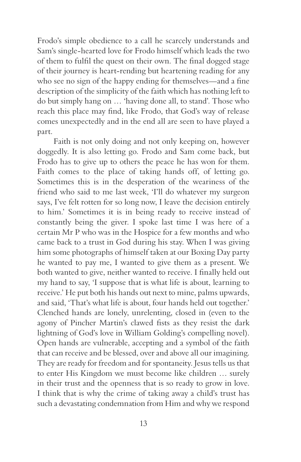Frodo's simple obedience to a call he scarcely understands and Sam's single-hearted love for Frodo himself which leads the two of them to fulfil the quest on their own. The final dogged stage of their journey is heart-rending but heartening reading for any who see no sign of the happy ending for themselves—and a fine description of the simplicity of the faith which has nothing left to do but simply hang on … 'having done all, to stand'. Those who reach this place may find, like Frodo, that God's way of release comes unexpectedly and in the end all are seen to have played a part.

Faith is not only doing and not only keeping on, however doggedly. It is also letting go. Frodo and Sam come back, but Frodo has to give up to others the peace he has won for them. Faith comes to the place of taking hands off, of letting go. Sometimes this is in the desperation of the weariness of the friend who said to me last week, 'I'll do whatever my surgeon says, I've felt rotten for so long now, I leave the decision entirely to him.' Sometimes it is in being ready to receive instead of constantly being the giver. I spoke last time I was here of a certain Mr P who was in the Hospice for a few months and who came back to a trust in God during his stay. When I was giving him some photographs of himself taken at our Boxing Day party he wanted to pay me, I wanted to give them as a present. We both wanted to give, neither wanted to receive. I finally held out my hand to say, 'I suppose that is what life is about, learning to receive.' He put both his hands out next to mine, palms upwards, and said, 'That's what life is about, four hands held out together.' Clenched hands are lonely, unrelenting, closed in (even to the agony of Pincher Martin's clawed fists as they resist the dark lightning of God's love in William Golding's compelling novel). Open hands are vulnerable, accepting and a symbol of the faith that can receive and be blessed, over and above all our imagining. They are ready for freedom and for spontaneity. Jesus tells us that to enter His Kingdom we must become like children … surely in their trust and the openness that is so ready to grow in love. I think that is why the crime of taking away a child's trust has such a devastating condemnation from Him and why we respond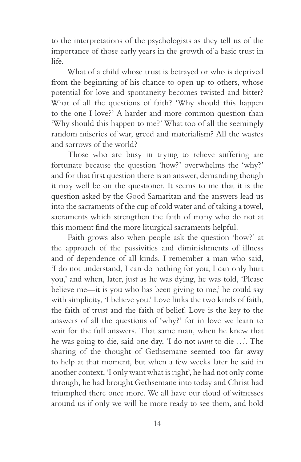to the interpretations of the psychologists as they tell us of the importance of those early years in the growth of a basic trust in life.

What of a child whose trust is betrayed or who is deprived from the beginning of his chance to open up to others, whose potential for love and spontaneity becomes twisted and bitter? What of all the questions of faith? 'Why should this happen to the one I love?' A harder and more common question than 'Why should this happen to me?' What too of all the seemingly random miseries of war, greed and materialism? All the wastes and sorrows of the world?

Those who are busy in trying to relieve suffering are fortunate because the question 'how?' overwhelms the 'why?' and for that first question there is an answer, demanding though it may well be on the questioner. It seems to me that it is the question asked by the Good Samaritan and the answers lead us into the sacraments of the cup of cold water and of taking a towel, sacraments which strengthen the faith of many who do not at this moment find the more liturgical sacraments helpful.

Faith grows also when people ask the question 'how?' at the approach of the passivities and diminishments of illness and of dependence of all kinds. I remember a man who said, 'I do not understand, I can do nothing for you, I can only hurt you,' and when, later, just as he was dying, he was told, 'Please believe me—it is you who has been giving to me,' he could say with simplicity, 'I believe you.' Love links the two kinds of faith, the faith of trust and the faith of belief. Love is the key to the answers of all the questions of 'why?' for in love we learn to wait for the full answers. That same man, when he knew that he was going to die, said one day, 'I do not *want* to die …'. The sharing of the thought of Gethsemane seemed too far away to help at that moment, but when a few weeks later he said in another context, 'I only want what is right', he had not only come through, he had brought Gethsemane into today and Christ had triumphed there once more. We all have our cloud of witnesses around us if only we will be more ready to see them, and hold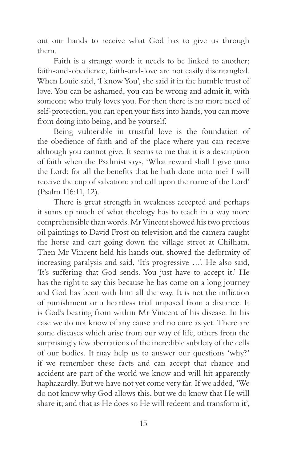out our hands to receive what God has to give us through them.

Faith is a strange word: it needs to be linked to another; faith-and-obedience, faith-and-love are not easily disentangled. When Louie said, 'I know You', she said it in the humble trust of love. You can be ashamed, you can be wrong and admit it, with someone who truly loves you. For then there is no more need of self-protection, you can open your fists into hands, you can move from doing into being, and be yourself.

Being vulnerable in trustful love is the foundation of the obedience of faith and of the place where you can receive although you cannot give. It seems to me that it is a description of faith when the Psalmist says, 'What reward shall I give unto the Lord: for all the benefits that he hath done unto me? I will receive the cup of salvation: and call upon the name of the Lord' (Psalm 116:11, 12).

There is great strength in weakness accepted and perhaps it sums up much of what theology has to teach in a way more comprehensible than words. Mr Vincent showed his two precious oil paintings to David Frost on television and the camera caught the horse and cart going down the village street at Chilham. Then Mr Vincent held his hands out, showed the deformity of increasing paralysis and said, 'It's progressive …'. He also said, 'It's suffering that God sends. You just have to accept it.' He has the right to say this because he has come on a long journey and God has been with him all the way. It is not the infliction of punishment or a heartless trial imposed from a distance. It is God's bearing from within Mr Vincent of his disease. In his case we do not know of any cause and no cure as yet. There are some diseases which arise from our way of life, others from the surprisingly few aberrations of the incredible subtlety of the cells of our bodies. It may help us to answer our questions 'why?' if we remember these facts and can accept that chance and accident are part of the world we know and will hit apparently haphazardly. But we have not yet come very far. If we added, 'We do not know why God allows this, but we do know that He will share it; and that as He does so He will redeem and transform it',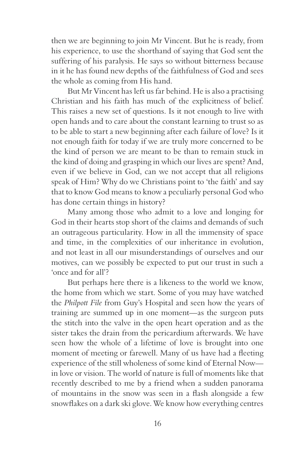then we are beginning to join Mr Vincent. But he is ready, from his experience, to use the shorthand of saying that God sent the suffering of his paralysis. He says so without bitterness because in it he has found new depths of the faithfulness of God and sees the whole as coming from His hand.

But Mr Vincent has left us far behind. He is also a practising Christian and his faith has much of the explicitness of belief. This raises a new set of questions. Is it not enough to live with open hands and to care about the constant learning to trust so as to be able to start a new beginning after each failure of love? Is it not enough faith for today if we are truly more concerned to be the kind of person we are meant to be than to remain stuck in the kind of doing and grasping in which our lives are spent? And, even if we believe in God, can we not accept that all religions speak of Him? Why do we Christians point to 'the faith' and say that to know God means to know a peculiarly personal God who has done certain things in history?

Many among those who admit to a love and longing for God in their hearts stop short of the claims and demands of such an outrageous particularity. How in all the immensity of space and time, in the complexities of our inheritance in evolution, and not least in all our misunderstandings of ourselves and our motives, can we possibly be expected to put our trust in such a 'once and for all'?

But perhaps here there is a likeness to the world we know, the home from which we start. Some of you may have watched the *Philpott File* from Guy's Hospital and seen how the years of training are summed up in one moment—as the surgeon puts the stitch into the valve in the open heart operation and as the sister takes the drain from the pericardium afterwards. We have seen how the whole of a lifetime of love is brought into one moment of meeting or farewell. Many of us have had a fleeting experience of the still wholeness of some kind of Eternal Now in love or vision. The world of nature is full of moments like that recently described to me by a friend when a sudden panorama of mountains in the snow was seen in a flash alongside a few snowflakes on a dark ski glove. We know how everything centres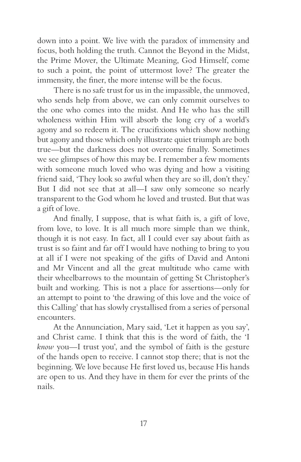down into a point. We live with the paradox of immensity and focus, both holding the truth. Cannot the Beyond in the Midst, the Prime Mover, the Ultimate Meaning, God Himself, come to such a point, the point of uttermost love? The greater the immensity, the finer, the more intense will be the focus.

There is no safe trust for us in the impassible, the unmoved, who sends help from above, we can only commit ourselves to the one who comes into the midst. And He who has the still wholeness within Him will absorb the long cry of a world's agony and so redeem it. The crucifixions which show nothing but agony and those which only illustrate quiet triumph are both true—but the darkness does not overcome finally. Sometimes we see glimpses of how this may be. I remember a few moments with someone much loved who was dying and how a visiting friend said, 'They look so awful when they are so ill, don't they.' But I did not see that at all—I saw only someone so nearly transparent to the God whom he loved and trusted. But that was a gift of love.

And finally, I suppose, that is what faith is, a gift of love, from love, to love. It is all much more simple than we think, though it is not easy. In fact, all I could ever say about faith as trust is so faint and far off I would have nothing to bring to you at all if I were not speaking of the gifts of David and Antoni and Mr Vincent and all the great multitude who came with their wheelbarrows to the mountain of getting St Christopher's built and working. This is not a place for assertions—only for an attempt to point to 'the drawing of this love and the voice of this Calling' that has slowly crystallised from a series of personal encounters.

At the Annunciation, Mary said, 'Let it happen as you say', and Christ came. I think that this is the word of faith, the 'I *know* you—I trust you', and the symbol of faith is the gesture of the hands open to receive. I cannot stop there; that is not the beginning. We love because He first loved us, because His hands are open to us. And they have in them for ever the prints of the nails.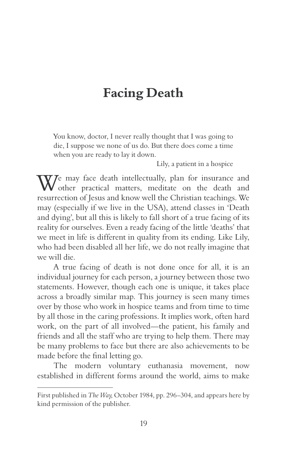## **Facing Death**

You know, doctor, I never really thought that I was going to die, I suppose we none of us do. But there does come a time when you are ready to lay it down.

Lily, a patient in a hospice

We may face death intellectually, plan for insurance and other practical matters, meditate on the death and resurrection of Jesus and know well the Christian teachings. We may (especially if we live in the USA), attend classes in 'Death and dying', but all this is likely to fall short of a true facing of its reality for ourselves. Even a ready facing of the little 'deaths' that we meet in life is different in quality from its ending. Like Lily, who had been disabled all her life, we do not really imagine that we will die.

A true facing of death is not done once for all, it is an individual journey for each person, a journey between those two statements. However, though each one is unique, it takes place across a broadly similar map. This journey is seen many times over by those who work in hospice teams and from time to time by all those in the caring professions. It implies work, often hard work, on the part of all involved—the patient, his family and friends and all the staff who are trying to help them. There may be many problems to face but there are also achievements to be made before the final letting go.

The modern voluntary euthanasia movement, now established in different forms around the world, aims to make

First published in *The Way*, October 1984, pp. 296–304, and appears here by kind permission of the publisher.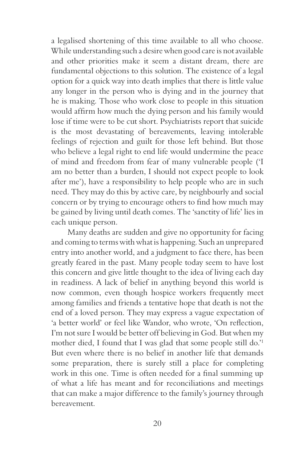a legalised shortening of this time available to all who choose. While understanding such a desire when good care is not available and other priorities make it seem a distant dream, there are fundamental objections to this solution. The existence of a legal option for a quick way into death implies that there is little value any longer in the person who is dying and in the journey that he is making. Those who work close to people in this situation would affirm how much the dying person and his family would lose if time were to be cut short. Psychiatrists report that suicide is the most devastating of bereavements, leaving intolerable feelings of rejection and guilt for those left behind. But those who believe a legal right to end life would undermine the peace of mind and freedom from fear of many vulnerable people ('I am no better than a burden, I should not expect people to look after me'), have a responsibility to help people who are in such need. They may do this by active care, by neighbourly and social concern or by trying to encourage others to find how much may be gained by living until death comes. The 'sanctity of life' lies in each unique person.

Many deaths are sudden and give no opportunity for facing and coming to terms with what is happening. Such an unprepared entry into another world, and a judgment to face there, has been greatly feared in the past. Many people today seem to have lost this concern and give little thought to the idea of living each day in readiness. A lack of belief in anything beyond this world is now common, even though hospice workers frequently meet among families and friends a tentative hope that death is not the end of a loved person. They may express a vague expectation of 'a better world' or feel like Wandor, who wrote, 'On reflection, I'm not sure I would be better off believing in God. But when my mother died, I found that I was glad that some people still do.'1 But even where there is no belief in another life that demands some preparation, there is surely still a place for completing work in this one. Time is often needed for a final summing up of what a life has meant and for reconciliations and meetings that can make a major difference to the family's journey through bereavement.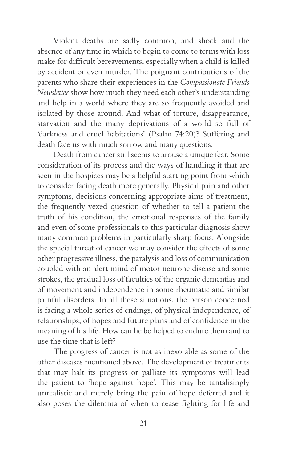Violent deaths are sadly common, and shock and the absence of any time in which to begin to come to terms with loss make for difficult bereavements, especially when a child is killed by accident or even murder. The poignant contributions of the parents who share their experiences in the *Compassionate Friends Newsletter* show how much they need each other's understanding and help in a world where they are so frequently avoided and isolated by those around. And what of torture, disappearance, starvation and the many deprivations of a world so full of 'darkness and cruel habitations' (Psalm 74:20)? Suffering and death face us with much sorrow and many questions.

Death from cancer still seems to arouse a unique fear. Some consideration of its process and the ways of handling it that are seen in the hospices may be a helpful starting point from which to consider facing death more generally. Physical pain and other symptoms, decisions concerning appropriate aims of treatment, the frequently vexed question of whether to tell a patient the truth of his condition, the emotional responses of the family and even of some professionals to this particular diagnosis show many common problems in particularly sharp focus. Alongside the special threat of cancer we may consider the effects of some other progressive illness, the paralysis and loss of communication coupled with an alert mind of motor neurone disease and some strokes, the gradual loss of faculties of the organic dementias and of movement and independence in some rheumatic and similar painful disorders. In all these situations, the person concerned is facing a whole series of endings, of physical independence, of relationships, of hopes and future plans and of confidence in the meaning of his life. How can he be helped to endure them and to use the time that is left?

The progress of cancer is not as inexorable as some of the other diseases mentioned above. The development of treatments that may halt its progress or palliate its symptoms will lead the patient to 'hope against hope'. This may be tantalisingly unrealistic and merely bring the pain of hope deferred and it also poses the dilemma of when to cease fighting for life and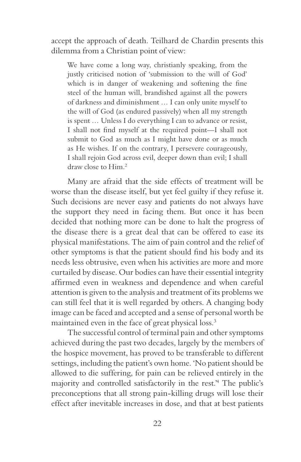accept the approach of death. Teilhard de Chardin presents this dilemma from a Christian point of view:

We have come a long way, christianly speaking, from the justly criticised notion of 'submission to the will of God' which is in danger of weakening and softening the fine steel of the human will, brandished against all the powers of darkness and diminishment … I can only unite myself to the will of God (as endured passively) when all my strength is spent … Unless I do everything I can to advance or resist, I shall not find myself at the required point—I shall not submit to God as much as I might have done or as much as He wishes. If on the contrary, I persevere courageously, I shall rejoin God across evil, deeper down than evil; I shall draw close to Him.2

Many are afraid that the side effects of treatment will be worse than the disease itself, but yet feel guilty if they refuse it. Such decisions are never easy and patients do not always have the support they need in facing them. But once it has been decided that nothing more can be done to halt the progress of the disease there is a great deal that can be offered to ease its physical manifestations. The aim of pain control and the relief of other symptoms is that the patient should find his body and its needs less obtrusive, even when his activities are more and more curtailed by disease. Our bodies can have their essential integrity affirmed even in weakness and dependence and when careful attention is given to the analysis and treatment of its problems we can still feel that it is well regarded by others. A changing body image can be faced and accepted and a sense of personal worth be maintained even in the face of great physical loss.<sup>3</sup>

The successful control of terminal pain and other symptoms achieved during the past two decades, largely by the members of the hospice movement, has proved to be transferable to different settings, including the patient's own home. 'No patient should be allowed to die suffering, for pain can be relieved entirely in the majority and controlled satisfactorily in the rest.'4 The public's preconceptions that all strong pain-killing drugs will lose their effect after inevitable increases in dose, and that at best patients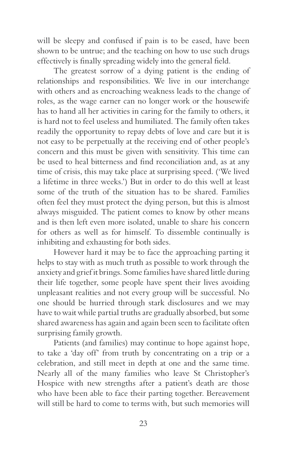will be sleepy and confused if pain is to be eased, have been shown to be untrue; and the teaching on how to use such drugs effectively is finally spreading widely into the general field.

The greatest sorrow of a dying patient is the ending of relationships and responsibilities. We live in our interchange with others and as encroaching weakness leads to the change of roles, as the wage earner can no longer work or the housewife has to hand all her activities in caring for the family to others, it is hard not to feel useless and humiliated. The family often takes readily the opportunity to repay debts of love and care but it is not easy to be perpetually at the receiving end of other people's concern and this must be given with sensitivity. This time can be used to heal bitterness and find reconciliation and, as at any time of crisis, this may take place at surprising speed. ('We lived a lifetime in three weeks.') But in order to do this well at least some of the truth of the situation has to be shared. Families often feel they must protect the dying person, but this is almost always misguided. The patient comes to know by other means and is then left even more isolated, unable to share his concern for others as well as for himself. To dissemble continually is inhibiting and exhausting for both sides.

However hard it may be to face the approaching parting it helps to stay with as much truth as possible to work through the anxiety and grief it brings. Some families have shared little during their life together, some people have spent their lives avoiding unpleasant realities and not every group will be successful. No one should be hurried through stark disclosures and we may have to wait while partial truths are gradually absorbed, but some shared awareness has again and again been seen to facilitate often surprising family growth.

Patients (and families) may continue to hope against hope, to take a 'day off' from truth by concentrating on a trip or a celebration, and still meet in depth at one and the same time. Nearly all of the many families who leave St Christopher's Hospice with new strengths after a patient's death are those who have been able to face their parting together. Bereavement will still be hard to come to terms with, but such memories will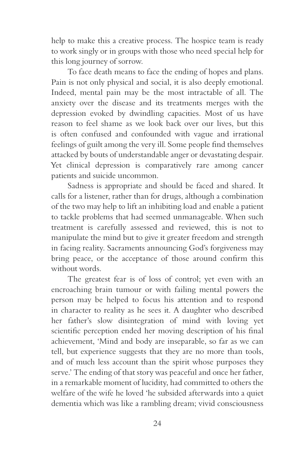help to make this a creative process. The hospice team is ready to work singly or in groups with those who need special help for this long journey of sorrow.

To face death means to face the ending of hopes and plans. Pain is not only physical and social, it is also deeply emotional. Indeed, mental pain may be the most intractable of all. The anxiety over the disease and its treatments merges with the depression evoked by dwindling capacities. Most of us have reason to feel shame as we look back over our lives, but this is often confused and confounded with vague and irrational feelings of guilt among the very ill. Some people find themselves attacked by bouts of understandable anger or devastating despair. Yet clinical depression is comparatively rare among cancer patients and suicide uncommon.

Sadness is appropriate and should be faced and shared. It calls for a listener, rather than for drugs, although a combination of the two may help to lift an inhibiting load and enable a patient to tackle problems that had seemed unmanageable. When such treatment is carefully assessed and reviewed, this is not to manipulate the mind but to give it greater freedom and strength in facing reality. Sacraments announcing God's forgiveness may bring peace, or the acceptance of those around confirm this without words.

The greatest fear is of loss of control; yet even with an encroaching brain tumour or with failing mental powers the person may be helped to focus his attention and to respond in character to reality as he sees it. A daughter who described her father's slow disintegration of mind with loving yet scientific perception ended her moving description of his final achievement, 'Mind and body are inseparable, so far as we can tell, but experience suggests that they are no more than tools, and of much less account than the spirit whose purposes they serve.' The ending of that story was peaceful and once her father, in a remarkable moment of lucidity, had committed to others the welfare of the wife he loved 'he subsided afterwards into a quiet dementia which was like a rambling dream; vivid consciousness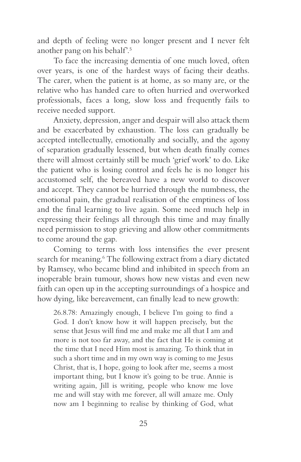and depth of feeling were no longer present and I never felt another pang on his behalf'.5

To face the increasing dementia of one much loved, often over years, is one of the hardest ways of facing their deaths. The carer, when the patient is at home, as so many are, or the relative who has handed care to often hurried and overworked professionals, faces a long, slow loss and frequently fails to receive needed support.

Anxiety, depression, anger and despair will also attack them and be exacerbated by exhaustion. The loss can gradually be accepted intellectually, emotionally and socially, and the agony of separation gradually lessened, but when death finally comes there will almost certainly still be much 'grief work' to do. Like the patient who is losing control and feels he is no longer his accustomed self, the bereaved have a new world to discover and accept. They cannot be hurried through the numbness, the emotional pain, the gradual realisation of the emptiness of loss and the final learning to live again. Some need much help in expressing their feelings all through this time and may finally need permission to stop grieving and allow other commitments to come around the gap.

Coming to terms with loss intensifies the ever present search for meaning.<sup>6</sup> The following extract from a diary dictated by Ramsey, who became blind and inhibited in speech from an inoperable brain tumour, shows how new vistas and even new faith can open up in the accepting surroundings of a hospice and how dying, like bereavement, can finally lead to new growth:

26.8.78: Amazingly enough, I believe I'm going to find a God. I don't know how it will happen precisely, but the sense that Jesus will find me and make me all that I am and more is not too far away, and the fact that He is coming at the time that I need Him most is amazing. To think that in such a short time and in my own way is coming to me Jesus Christ, that is, I hope, going to look after me, seems a most important thing, but I know it's going to be true. Annie is writing again, Jill is writing, people who know me love me and will stay with me forever, all will amaze me. Only now am I beginning to realise by thinking of God, what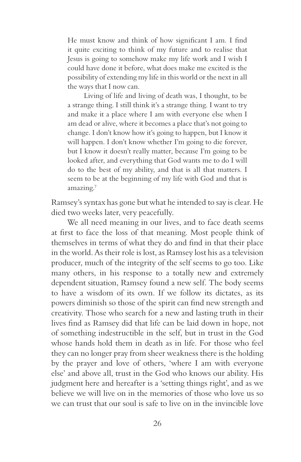He must know and think of how significant I am. I find it quite exciting to think of my future and to realise that Jesus is going to somehow make my life work and I wish I could have done it before, what does make me excited is the possibility of extending my life in this world or the next in all the ways that I now can.

Living of life and living of death was, I thought, to be a strange thing. I still think it's a strange thing. I want to try and make it a place where I am with everyone else when I am dead or alive, where it becomes a place that's not going to change. I don't know how it's going to happen, but I know it will happen. I don't know whether I'm going to die forever, but I know it doesn't really matter, because I'm going to be looked after, and everything that God wants me to do I will do to the best of my ability, and that is all that matters. I seem to be at the beginning of my life with God and that is amazing.7

Ramsey's syntax has gone but what he intended to say is clear. He died two weeks later, very peacefully.

We all need meaning in our lives, and to face death seems at first to face the loss of that meaning. Most people think of themselves in terms of what they do and find in that their place in the world. As their role is lost, as Ramsey lost his as a television producer, much of the integrity of the self seems to go too. Like many others, in his response to a totally new and extremely dependent situation, Ramsey found a new self. The body seems to have a wisdom of its own. If we follow its dictates, as its powers diminish so those of the spirit can find new strength and creativity. Those who search for a new and lasting truth in their lives find as Ramsey did that life can be laid down in hope, not of something indestructible in the self, but in trust in the God whose hands hold them in death as in life. For those who feel they can no longer pray from sheer weakness there is the holding by the prayer and love of others, 'where I am with everyone else' and above all, trust in the God who knows our ability. His judgment here and hereafter is a 'setting things right', and as we believe we will live on in the memories of those who love us so we can trust that our soul is safe to live on in the invincible love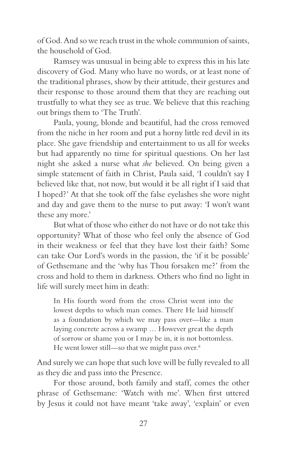of God. And so we reach trust in the whole communion of saints, the household of God.

Ramsey was unusual in being able to express this in his late discovery of God. Many who have no words, or at least none of the traditional phrases, show by their attitude, their gestures and their response to those around them that they are reaching out trustfully to what they see as true. We believe that this reaching out brings them to 'The Truth'.

Paula, young, blonde and beautiful, had the cross removed from the niche in her room and put a horny little red devil in its place. She gave friendship and entertainment to us all for weeks but had apparently no time for spiritual questions. On her last night she asked a nurse what *she* believed. On being given a simple statement of faith in Christ, Paula said, 'I couldn't say I believed like that, not now, but would it be all right if I said that I hoped?' At that she took off the false eyelashes she wore night and day and gave them to the nurse to put away: 'I won't want these any more.'

But what of those who either do not have or do not take this opportunity? What of those who feel only the absence of God in their weakness or feel that they have lost their faith? Some can take Our Lord's words in the passion, the 'if it be possible' of Gethsemane and the 'why has Thou forsaken me?' from the cross and hold to them in darkness. Others who find no light in life will surely meet him in death:

In His fourth word from the cross Christ went into the lowest depths to which man comes. There He laid himself as a foundation by which we may pass over—like a man laying concrete across a swamp … However great the depth of sorrow or shame you or I may be in, it is not bottomless. He went lower still—so that we might pass over.<sup>8</sup>

And surely we can hope that such love will be fully revealed to all as they die and pass into the Presence.

For those around, both family and staff, comes the other phrase of Gethsemane: 'Watch with me'. When first uttered by Jesus it could not have meant 'take away', 'explain' or even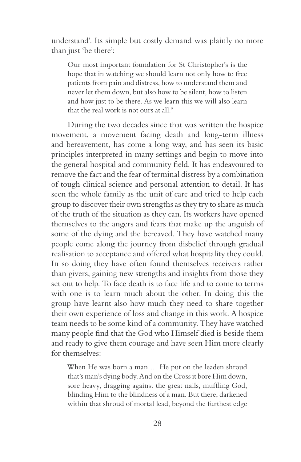understand'. Its simple but costly demand was plainly no more than just 'be there':

Our most important foundation for St Christopher's is the hope that in watching we should learn not only how to free patients from pain and distress, how to understand them and never let them down, but also how to be silent, how to listen and how just to be there. As we learn this we will also learn that the real work is not ours at all.<sup>9</sup>

During the two decades since that was written the hospice movement, a movement facing death and long-term illness and bereavement, has come a long way, and has seen its basic principles interpreted in many settings and begin to move into the general hospital and community field. It has endeavoured to remove the fact and the fear of terminal distress by a combination of tough clinical science and personal attention to detail. It has seen the whole family as the unit of care and tried to help each group to discover their own strengths as they try to share as much of the truth of the situation as they can. Its workers have opened themselves to the angers and fears that make up the anguish of some of the dying and the bereaved. They have watched many people come along the journey from disbelief through gradual realisation to acceptance and offered what hospitality they could. In so doing they have often found themselves receivers rather than givers, gaining new strengths and insights from those they set out to help. To face death is to face life and to come to terms with one is to learn much about the other. In doing this the group have learnt also how much they need to share together their own experience of loss and change in this work. A hospice team needs to be some kind of a community. They have watched many people find that the God who Himself died is beside them and ready to give them courage and have seen Him more clearly for themselves:

When He was born a man … He put on the leaden shroud that's man's dying body. And on the Cross it bore Him down, sore heavy, dragging against the great nails, muffling God, blinding Him to the blindness of a man. But there, darkened within that shroud of mortal lead, beyond the furthest edge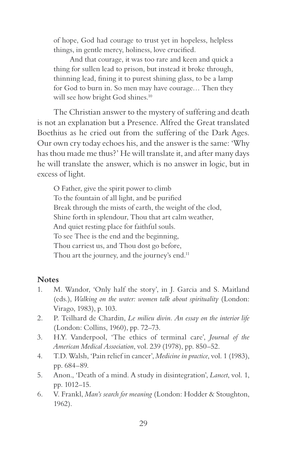of hope, God had courage to trust yet in hopeless, helpless things, in gentle mercy, holiness, love crucified.

And that courage, it was too rare and keen and quick a thing for sullen lead to prison, but instead it broke through, thinning lead, fining it to purest shining glass, to be a lamp for God to burn in. So men may have courage… Then they will see how bright God shines.<sup>10</sup>

The Christian answer to the mystery of suffering and death is not an explanation but a Presence. Alfred the Great translated Boethius as he cried out from the suffering of the Dark Ages. Our own cry today echoes his, and the answer is the same: 'Why has thou made me thus?' He will translate it, and after many days he will translate the answer, which is no answer in logic, but in excess of light.

O Father, give the spirit power to climb To the fountain of all light, and be purified Break through the mists of earth, the weight of the clod, Shine forth in splendour, Thou that art calm weather, And quiet resting place for faithful souls. To see Thee is the end and the beginning, Thou carriest us, and Thou dost go before, Thou art the journey, and the journey's end.<sup>11</sup>

## **Notes**

- 1. M. Wandor, 'Only half the story', in J. Garcia and S. Maitland (eds.), *Walking on the water: women talk about spirituality* (London: Virago, 1983), p. 103.
- 2. P. Teilhard de Chardin, *Le milieu divin. An essay on the interior life* (London: Collins, 1960), pp. 72–73.
- 3. H.Y. Vanderpool, 'The ethics of terminal care', *Journal of the American Medical Association*, vol. 239 (1978), pp. 850–52.
- 4. T.D. Walsh, 'Pain relief in cancer', *Medicine in practice*, vol. 1 (1983), pp. 684–89.
- 5. Anon., 'Death of a mind. A study in disintegration', *Lancet*, vol. 1, pp. 1012–15.
- 6. V. Frankl, *Man's search for meaning* (London: Hodder & Stoughton, 1962).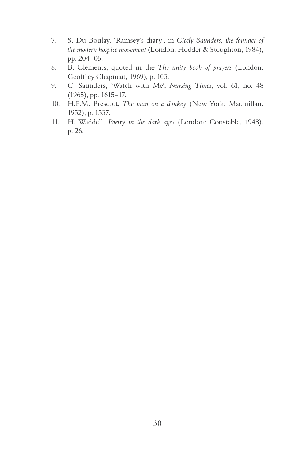- 7. S. Du Boulay, 'Ramsey's diary', in *Cicely Saunders, the founder of the modern hospice movement* (London: Hodder & Stoughton, 1984), pp. 204–05.
- 8. B. Clements, quoted in the *The unity book of prayers* (London: Geoffrey Chapman, 1969), p. 103.
- 9. C. Saunders, 'Watch with Me', *Nursing Times*, vol. 61, no. 48 (1965), pp. 1615–17.
- 10. H.F.M. Prescott, *The man on a donkey* (New York: Macmillan, 1952), p. 1537.
- 11. H. Waddell, *Poetry in the dark ages* (London: Constable, 1948), p. 26.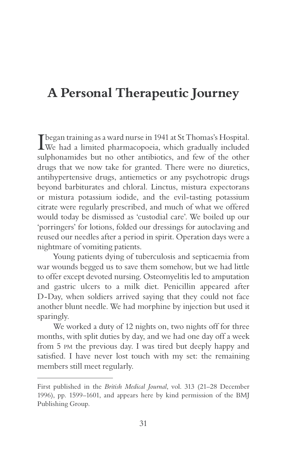## **A Personal Therapeutic Journey**

I began training as a ward nurse in 1941 at St Thomas's Hospital. We had a limited pharmacopoeia, which gradually included sulphonamides but no other antibiotics, and few of the other drugs that we now take for granted. There were no diuretics, antihypertensive drugs, antiemetics or any psychotropic drugs beyond barbiturates and chloral. Linctus, mistura expectorans or mistura potassium iodide, and the evil-tasting potassium citrate were regularly prescribed, and much of what we offered would today be dismissed as 'custodial care'. We boiled up our 'porringers' for lotions, folded our dressings for autoclaving and reused our needles after a period in spirit. Operation days were a nightmare of vomiting patients.

Young patients dying of tuberculosis and septicaemia from war wounds begged us to save them somehow, but we had little to offer except devoted nursing. Osteomyelitis led to amputation and gastric ulcers to a milk diet. Penicillin appeared after D-Day, when soldiers arrived saying that they could not face another blunt needle. We had morphine by injection but used it sparingly.

We worked a duty of 12 nights on, two nights off for three months, with split duties by day, and we had one day off a week from 5 PM the previous day. I was tired but deeply happy and satisfied. I have never lost touch with my set: the remaining members still meet regularly.

First published in the *British Medical Journal*, vol. 313 (21–28 December 1996), pp. 1599–1601, and appears here by kind permission of the BMJ Publishing Group.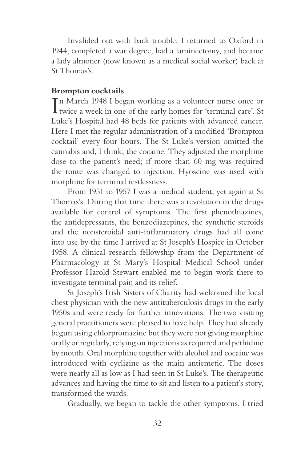Invalided out with back trouble, I returned to Oxford in 1944, completed a war degree, had a laminectomy, and became a lady almoner (now known as a medical social worker) back at St Thomas's.

### **Brompton cocktails**

In March 1948 I began working as a volunteer nurse once or<br>twice a week in one of the early homes for 'terminal care'. St **L**twice a week in one of the early homes for 'terminal care'. St Luke's Hospital had 48 beds for patients with advanced cancer. Here I met the regular administration of a modified 'Brompton cocktail' every four hours. The St Luke's version omitted the cannabis and, I think, the cocaine. They adjusted the morphine dose to the patient's need; if more than 60 mg was required the route was changed to injection. Hyoscine was used with morphine for terminal restlessness.

From 1951 to 1957 I was a medical student, yet again at St Thomas's. During that time there was a revolution in the drugs available for control of symptoms. The first phenothiazines, the antidepressants, the benzodiazepines, the synthetic steroids and the nonsteroidal anti-inflammatory drugs had all come into use by the time I arrived at St Joseph's Hospice in October 1958. A clinical research fellowship from the Department of Pharmacology at St Mary's Hospital Medical School under Professor Harold Stewart enabled me to begin work there to investigate terminal pain and its relief.

St Joseph's Irish Sisters of Charity had welcomed the local chest physician with the new antituberculosis drugs in the early 1950s and were ready for further innovations. The two visiting general practitioners were pleased to have help. They had already begun using chlorpromazine but they were not giving morphine orally or regularly, relying on injections as required and pethidine by mouth. Oral morphine together with alcohol and cocaine was introduced with cyclizine as the main antiemetic. The doses were nearly all as low as I had seen in St Luke's. The therapeutic advances and having the time to sit and listen to a patient's story, transformed the wards.

Gradually, we began to tackle the other symptoms. I tried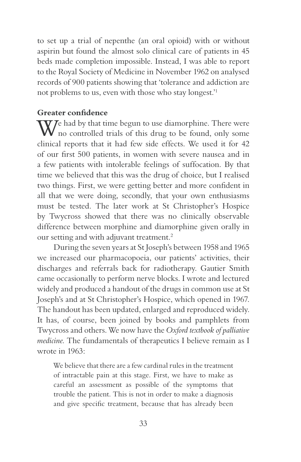to set up a trial of nepenthe (an oral opioid) with or without aspirin but found the almost solo clinical care of patients in 45 beds made completion impossible. Instead, I was able to report to the Royal Society of Medicine in November 1962 on analysed records of 900 patients showing that 'tolerance and addiction are not problems to us, even with those who stay longest.'1

## **Greater confidence**

We had by that time begun to use diamorphine. There were no controlled trials of this drug to be found, only some clinical reports that it had few side effects. We used it for 42 of our first 500 patients, in women with severe nausea and in a few patients with intolerable feelings of suffocation. By that time we believed that this was the drug of choice, but I realised two things. First, we were getting better and more confident in all that we were doing, secondly, that your own enthusiasms must be tested. The later work at St Christopher's Hospice by Twycross showed that there was no clinically observable difference between morphine and diamorphine given orally in our setting and with adjuvant treatment.<sup>2</sup>

During the seven years at St Joseph's between 1958 and 1965 we increased our pharmacopoeia, our patients' activities, their discharges and referrals back for radiotherapy. Gautier Smith came occasionally to perform nerve blocks. I wrote and lectured widely and produced a handout of the drugs in common use at St Joseph's and at St Christopher's Hospice, which opened in 1967. The handout has been updated, enlarged and reproduced widely. It has, of course, been joined by books and pamphlets from Twycross and others. We now have the *Oxford textbook of palliative medicine*. The fundamentals of therapeutics I believe remain as I wrote in 1963:

We believe that there are a few cardinal rules in the treatment of intractable pain at this stage. First, we have to make as careful an assessment as possible of the symptoms that trouble the patient. This is not in order to make a diagnosis and give specific treatment, because that has already been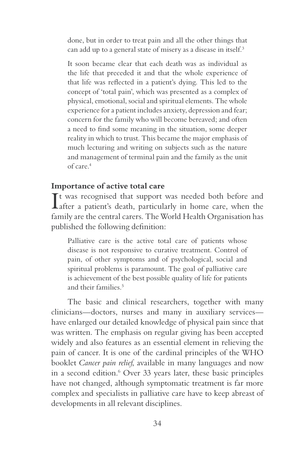done, but in order to treat pain and all the other things that can add up to a general state of misery as a disease in itself.<sup>3</sup>

It soon became clear that each death was as individual as the life that preceded it and that the whole experience of that life was reflected in a patient's dying. This led to the concept of 'total pain', which was presented as a complex of physical, emotional, social and spiritual elements. The whole experience for a patient includes anxiety, depression and fear; concern for the family who will become bereaved; and often a need to find some meaning in the situation, some deeper reality in which to trust. This became the major emphasis of much lecturing and writing on subjects such as the nature and management of terminal pain and the family as the unit of care.4

#### **Importance of active total care**

It was recognised that support was needed both before and after a patient's death, particularly in home care, when the  $\mathsf{T}$ t was recognised that support was needed both before and family are the central carers. The World Health Organisation has published the following definition:

Palliative care is the active total care of patients whose disease is not responsive to curative treatment. Control of pain, of other symptoms and of psychological, social and spiritual problems is paramount. The goal of palliative care is achievement of the best possible quality of life for patients and their families.5

The basic and clinical researchers, together with many clinicians—doctors, nurses and many in auxiliary services have enlarged our detailed knowledge of physical pain since that was written. The emphasis on regular giving has been accepted widely and also features as an essential element in relieving the pain of cancer. It is one of the cardinal principles of the WHO booklet *Cancer pain relief*, available in many languages and now in a second edition.6 Over 33 years later, these basic principles have not changed, although symptomatic treatment is far more complex and specialists in palliative care have to keep abreast of developments in all relevant disciplines.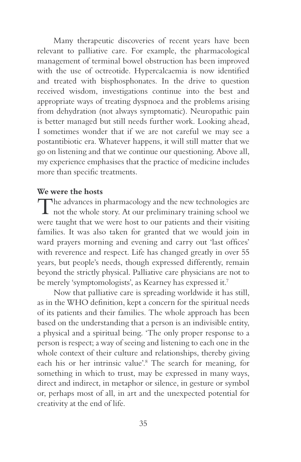Many therapeutic discoveries of recent years have been relevant to palliative care. For example, the pharmacological management of terminal bowel obstruction has been improved with the use of octreotide. Hypercalcaemia is now identified and treated with bisphosphonates. In the drive to question received wisdom, investigations continue into the best and appropriate ways of treating dyspnoea and the problems arising from dehydration (not always symptomatic). Neuropathic pain is better managed but still needs further work. Looking ahead, I sometimes wonder that if we are not careful we may see a postantibiotic era. Whatever happens, it will still matter that we go on listening and that we continue our questioning. Above all, my experience emphasises that the practice of medicine includes more than specific treatments.

### **We were the hosts**

The advances in pharmacology and the new technologies are  $\perp$  not the whole story. At our preliminary training school we were taught that we were host to our patients and their visiting families. It was also taken for granted that we would join in ward prayers morning and evening and carry out 'last offices' with reverence and respect. Life has changed greatly in over 55 years, but people's needs, though expressed differently, remain beyond the strictly physical. Palliative care physicians are not to be merely 'symptomologists', as Kearney has expressed it.7

Now that palliative care is spreading worldwide it has still, as in the WHO definition, kept a concern for the spiritual needs of its patients and their families. The whole approach has been based on the understanding that a person is an indivisible entity, a physical and a spiritual being. 'The only proper response to a person is respect; a way of seeing and listening to each one in the whole context of their culture and relationships, thereby giving each his or her intrinsic value'.<sup>8</sup> The search for meaning, for something in which to trust, may be expressed in many ways, direct and indirect, in metaphor or silence, in gesture or symbol or, perhaps most of all, in art and the unexpected potential for creativity at the end of life.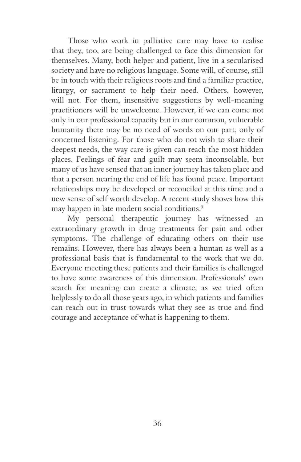Those who work in palliative care may have to realise that they, too, are being challenged to face this dimension for themselves. Many, both helper and patient, live in a secularised society and have no religious language. Some will, of course, still be in touch with their religious roots and find a familiar practice, liturgy, or sacrament to help their need. Others, however, will not. For them, insensitive suggestions by well-meaning practitioners will be unwelcome. However, if we can come not only in our professional capacity but in our common, vulnerable humanity there may be no need of words on our part, only of concerned listening. For those who do not wish to share their deepest needs, the way care is given can reach the most hidden places. Feelings of fear and guilt may seem inconsolable, but many of us have sensed that an inner journey has taken place and that a person nearing the end of life has found peace. Important relationships may be developed or reconciled at this time and a new sense of self worth develop. A recent study shows how this may happen in late modern social conditions.<sup>9</sup>

My personal therapeutic journey has witnessed an extraordinary growth in drug treatments for pain and other symptoms. The challenge of educating others on their use remains. However, there has always been a human as well as a professional basis that is fundamental to the work that we do. Everyone meeting these patients and their families is challenged to have some awareness of this dimension. Professionals' own search for meaning can create a climate, as we tried often helplessly to do all those years ago, in which patients and families can reach out in trust towards what they see as true and find courage and acceptance of what is happening to them.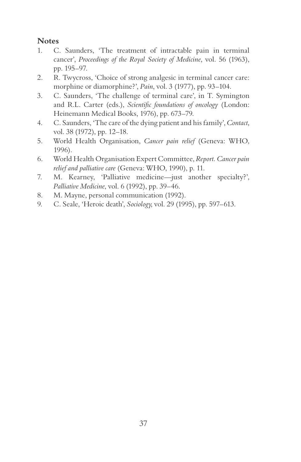## **Notes**

- 1. C. Saunders, 'The treatment of intractable pain in terminal cancer', *Proceedings of the Royal Society of Medicine*, vol. 56 (1963), pp. 195–97.
- 2. R. Twycross, 'Choice of strong analgesic in terminal cancer care: morphine or diamorphine?', *Pain*, vol. 3 (1977), pp. 93–104.
- 3. C. Saunders, 'The challenge of terminal care', in T. Symington and R.L. Carter (eds.), *Scientific foundations of oncology* (London: Heinemann Medical Books, 1976), pp. 673–79.
- 4. C. Saunders, 'The care of the dying patient and his family', *Contact*, vol. 38 (1972), pp. 12–18.
- 5. World Health Organisation, *Cancer pain relief* (Geneva: WHO, 1996).
- 6. World Health Organisation Expert Committee, *Report. Cancer pain relief and palliative care* (Geneva: WHO, 1990), p. 11.
- 7. M. Kearney, 'Palliative medicine—just another specialty?', *Palliative Medicine*, vol. 6 (1992), pp. 39–46.
- 8. M. Mayne, personal communication (1992).
- 9. C. Seale, 'Heroic death', *Sociology*, vol. 29 (1995), pp. 597–613.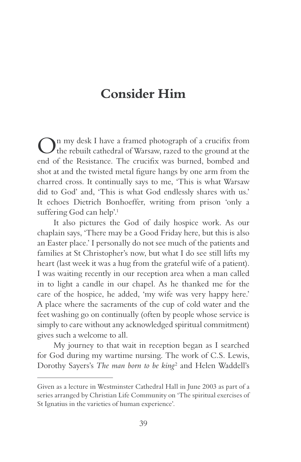## **Consider Him**

On my desk I have a framed photograph of a crucifix from the rebuilt cathedral of Warsaw, razed to the ground at the end of the Resistance. The crucifix was burned, bombed and shot at and the twisted metal figure hangs by one arm from the charred cross. It continually says to me, 'This is what Warsaw did to God' and, 'This is what God endlessly shares with us.' It echoes Dietrich Bonhoeffer, writing from prison 'only a suffering God can help'.1

It also pictures the God of daily hospice work. As our chaplain says, 'There may be a Good Friday here, but this is also an Easter place.' I personally do not see much of the patients and families at St Christopher's now, but what I do see still lifts my heart (last week it was a hug from the grateful wife of a patient). I was waiting recently in our reception area when a man called in to light a candle in our chapel. As he thanked me for the care of the hospice, he added, 'my wife was very happy here.' A place where the sacraments of the cup of cold water and the feet washing go on continually (often by people whose service is simply to care without any acknowledged spiritual commitment) gives such a welcome to all.

My journey to that wait in reception began as I searched for God during my wartime nursing. The work of C.S. Lewis, Dorothy Sayers's *The man born to be king*<sup>2</sup> and Helen Waddell's

Given as a lecture in Westminster Cathedral Hall in June 2003 as part of a series arranged by Christian Life Community on 'The spiritual exercises of St Ignatius in the varieties of human experience'.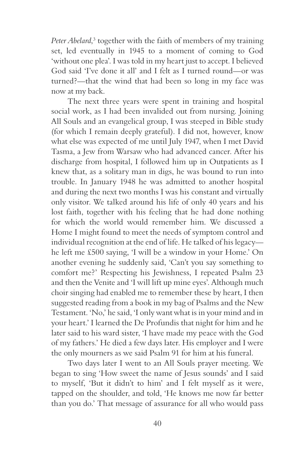Peter Abelard,<sup>3</sup> together with the faith of members of my training set, led eventually in 1945 to a moment of coming to God 'without one plea'. I was told in my heart just to accept. I believed God said 'I've done it all' and I felt as I turned round—or was turned?—that the wind that had been so long in my face was now at my back.

The next three years were spent in training and hospital social work, as I had been invalided out from nursing. Joining All Souls and an evangelical group, I was steeped in Bible study (for which I remain deeply grateful). I did not, however, know what else was expected of me until July 1947, when I met David Tasma, a Jew from Warsaw who had advanced cancer. After his discharge from hospital, I followed him up in Outpatients as I knew that, as a solitary man in digs, he was bound to run into trouble. In January 1948 he was admitted to another hospital and during the next two months I was his constant and virtually only visitor. We talked around his life of only 40 years and his lost faith, together with his feeling that he had done nothing for which the world would remember him. We discussed a Home I might found to meet the needs of symptom control and individual recognition at the end of life. He talked of his legacy he left me £500 saying, 'I will be a window in your Home.' On another evening he suddenly said, 'Can't you say something to comfort me?' Respecting his Jewishness, I repeated Psalm 23 and then the Venite and 'I will lift up mine eyes'. Although much choir singing had enabled me to remember these by heart, I then suggested reading from a book in my bag of Psalms and the New Testament. 'No,' he said, 'I only want what is in your mind and in your heart.' I learned the De Profundis that night for him and he later said to his ward sister, 'I have made my peace with the God of my fathers.' He died a few days later. His employer and I were the only mourners as we said Psalm 91 for him at his funeral.

Two days later I went to an All Souls prayer meeting. We began to sing 'How sweet the name of Jesus sounds' and I said to myself, 'But it didn't to him' and I felt myself as it were, tapped on the shoulder, and told, 'He knows me now far better than you do.' That message of assurance for all who would pass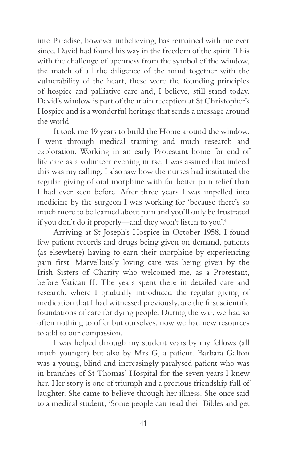into Paradise, however unbelieving, has remained with me ever since. David had found his way in the freedom of the spirit. This with the challenge of openness from the symbol of the window, the match of all the diligence of the mind together with the vulnerability of the heart, these were the founding principles of hospice and palliative care and, I believe, still stand today. David's window is part of the main reception at St Christopher's Hospice and is a wonderful heritage that sends a message around the world.

It took me 19 years to build the Home around the window. I went through medical training and much research and exploration. Working in an early Protestant home for end of life care as a volunteer evening nurse, I was assured that indeed this was my calling. I also saw how the nurses had instituted the regular giving of oral morphine with far better pain relief than I had ever seen before. After three years I was impelled into medicine by the surgeon I was working for 'because there's so much more to be learned about pain and you'll only be frustrated if you don't do it properly—and they won't listen to you'.4

Arriving at St Joseph's Hospice in October 1958, I found few patient records and drugs being given on demand, patients (as elsewhere) having to earn their morphine by experiencing pain first. Marvellously loving care was being given by the Irish Sisters of Charity who welcomed me, as a Protestant, before Vatican II. The years spent there in detailed care and research, where I gradually introduced the regular giving of medication that I had witnessed previously, are the first scientific foundations of care for dying people. During the war, we had so often nothing to offer but ourselves, now we had new resources to add to our compassion.

I was helped through my student years by my fellows (all much younger) but also by Mrs G, a patient. Barbara Galton was a young, blind and increasingly paralysed patient who was in branches of St Thomas' Hospital for the seven years I knew her. Her story is one of triumph and a precious friendship full of laughter. She came to believe through her illness. She once said to a medical student, 'Some people can read their Bibles and get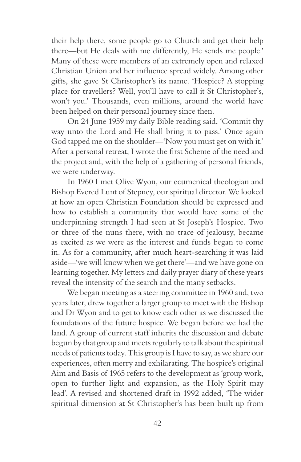their help there, some people go to Church and get their help there—but He deals with me differently, He sends me people.' Many of these were members of an extremely open and relaxed Christian Union and her influence spread widely. Among other gifts, she gave St Christopher's its name. 'Hospice? A stopping place for travellers? Well, you'll have to call it St Christopher's, won't you.' Thousands, even millions, around the world have been helped on their personal journey since then.

On 24 June 1959 my daily Bible reading said, 'Commit thy way unto the Lord and He shall bring it to pass.' Once again God tapped me on the shoulder—'Now you must get on with it.' After a personal retreat, I wrote the first Scheme of the need and the project and, with the help of a gathering of personal friends, we were underway.

In 1960 I met Olive Wyon, our ecumenical theologian and Bishop Evered Lunt of Stepney, our spiritual director. We looked at how an open Christian Foundation should be expressed and how to establish a community that would have some of the underpinning strength I had seen at St Joseph's Hospice. Two or three of the nuns there, with no trace of jealousy, became as excited as we were as the interest and funds began to come in. As for a community, after much heart-searching it was laid aside—'we will know when we get there'—and we have gone on learning together. My letters and daily prayer diary of these years reveal the intensity of the search and the many setbacks.

We began meeting as a steering committee in 1960 and, two years later, drew together a larger group to meet with the Bishop and Dr Wyon and to get to know each other as we discussed the foundations of the future hospice. We began before we had the land. A group of current staff inherits the discussion and debate begun by that group and meets regularly to talk about the spiritual needs of patients today. This group is I have to say, as we share our experiences, often merry and exhilarating. The hospice's original Aim and Basis of 1965 refers to the development as 'group work, open to further light and expansion, as the Holy Spirit may lead'. A revised and shortened draft in 1992 added, 'The wider spiritual dimension at St Christopher's has been built up from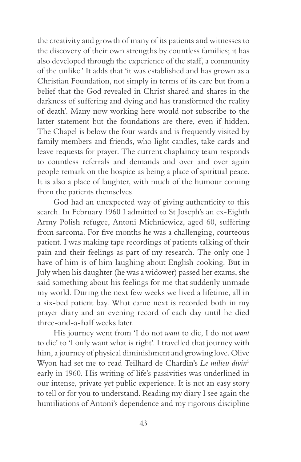the creativity and growth of many of its patients and witnesses to the discovery of their own strengths by countless families; it has also developed through the experience of the staff, a community of the unlike.' It adds that 'it was established and has grown as a Christian Foundation, not simply in terms of its care but from a belief that the God revealed in Christ shared and shares in the darkness of suffering and dying and has transformed the reality of death'. Many now working here would not subscribe to the latter statement but the foundations are there, even if hidden. The Chapel is below the four wards and is frequently visited by family members and friends, who light candles, take cards and leave requests for prayer. The current chaplaincy team responds to countless referrals and demands and over and over again people remark on the hospice as being a place of spiritual peace. It is also a place of laughter, with much of the humour coming from the patients themselves.

God had an unexpected way of giving authenticity to this search. In February 1960 I admitted to St Joseph's an ex-Eighth Army Polish refugee, Antoni Michniewicz, aged 60, suffering from sarcoma. For five months he was a challenging, courteous patient. I was making tape recordings of patients talking of their pain and their feelings as part of my research. The only one I have of him is of him laughing about English cooking. But in July when his daughter (he was a widower) passed her exams, she said something about his feelings for me that suddenly unmade my world. During the next few weeks we lived a lifetime, all in a six-bed patient bay. What came next is recorded both in my prayer diary and an evening record of each day until he died three-and-a-half weeks later.

His journey went from 'I do not *want* to die, I do not *want* to die' to 'I only want what is right'. I travelled that journey with him, a journey of physical diminishment and growing love. Olive Wyon had set me to read Teilhard de Chardin's *Le milieu divin*<sup>5</sup> early in 1960. His writing of life's passivities was underlined in our intense, private yet public experience. It is not an easy story to tell or for you to understand. Reading my diary I see again the humiliations of Antoni's dependence and my rigorous discipline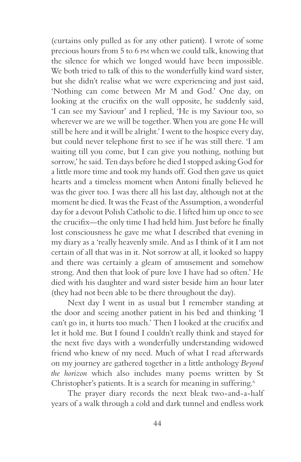(curtains only pulled as for any other patient). I wrote of some precious hours from 5 to 6 PM when we could talk, knowing that the silence for which we longed would have been impossible. We both tried to talk of this to the wonderfully kind ward sister, but she didn't realise what we were experiencing and just said, 'Nothing can come between Mr M and God.' One day, on looking at the crucifix on the wall opposite, he suddenly said, 'I can see my Saviour' and I replied, 'He is my Saviour too, so wherever we are we will be together. When you are gone He will still be here and it will be alright.' I went to the hospice every day, but could never telephone first to see if he was still there. 'I am waiting till you come, but I can give you nothing, nothing but sorrow,' he said. Ten days before he died I stopped asking God for a little more time and took my hands off. God then gave us quiet hearts and a timeless moment when Antoni finally believed he was the giver too. I was there all his last day, although not at the moment he died. It was the Feast of the Assumption, a wonderful day for a devout Polish Catholic to die. I lifted him up once to see the crucifix—the only time I had held him. Just before he finally lost consciousness he gave me what I described that evening in my diary as a 'really heavenly smile. And as I think of it I am not certain of all that was in it. Not sorrow at all, it looked so happy and there was certainly a gleam of amusement and somehow strong. And then that look of pure love I have had so often.' He died with his daughter and ward sister beside him an hour later (they had not been able to be there throughout the day).

Next day I went in as usual but I remember standing at the door and seeing another patient in his bed and thinking 'I can't go in, it hurts too much.' Then I looked at the crucifix and let it hold me. But I found I couldn't really think and stayed for the next five days with a wonderfully understanding widowed friend who knew of my need. Much of what I read afterwards on my journey are gathered together in a little anthology *Beyond the horizon* which also includes many poems written by St Christopher's patients. It is a search for meaning in suffering.6

The prayer diary records the next bleak two-and-a-half years of a walk through a cold and dark tunnel and endless work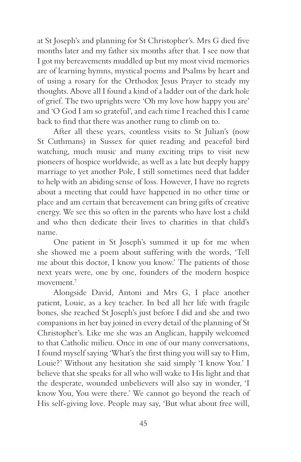at St Joseph's and planning for St Christopher's. Mrs G died five months later and my father six months after that. I see now that I got my bereavements muddled up but my most vivid memories are of learning hymns, mystical poems and Psalms by heart and of using a rosary for the Orthodox Jesus Prayer to steady my thoughts. Above all I found a kind of a ladder out of the dark hole of grief. The two uprights were 'Oh my love how happy you are' and 'O God I am so grateful', and each time I reached this I came back to find that there was another rung to climb on to.

After all these years, countless visits to St Julian's (now St Cuthmans) in Sussex for quiet reading and peaceful bird watching, much music and many exciting trips to visit new pioneers of hospice worldwide, as well as a late but deeply happy marriage to yet another Pole, I still sometimes need that ladder to help with an abiding sense of loss. However, I have no regrets about a meeting that could have happened in no other time or place and am certain that bereavement can bring gifts of creative energy. We see this so often in the parents who have lost a child and who then dedicate their lives to charities in that child's name.

One patient in St Joseph's summed it up for me when she showed me a poem about suffering with the words, 'Tell me about this doctor, I know you know.' The patients of those next years were, one by one, founders of the modern hospice movement<sup>7</sup>

Alongside David, Antoni and Mrs G, I place another patient, Louie, as a key teacher. In bed all her life with fragile bones, she reached St Joseph's just before I did and she and two companions in her bay joined in every detail of the planning of St Christopher's. Like me she was an Anglican, happily welcomed to that Catholic milieu. Once in one of our many conversations, I found myself saying 'What's the first thing you will say to Him, Louie?' Without any hesitation she said simply 'I know You.' I believe that she speaks for all who will wake to His light and that the desperate, wounded unbelievers will also say in wonder, 'I know You, You were there.' We cannot go beyond the reach of His self-giving love. People may say, 'But what about free will,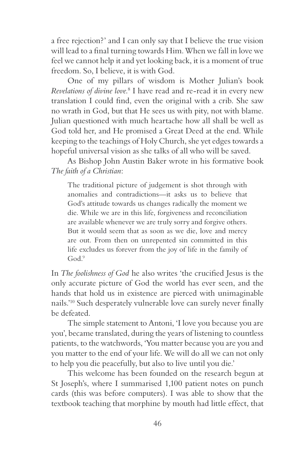a free rejection?' and I can only say that I believe the true vision will lead to a final turning towards Him. When we fall in love we feel we cannot help it and yet looking back, it is a moment of true freedom. So, I believe, it is with God.

One of my pillars of wisdom is Mother Julian's book *Revelations of divine love*. 8 I have read and re-read it in every new translation I could find, even the original with a crib. She saw no wrath in God, but that He sees us with pity, not with blame. Julian questioned with much heartache how all shall be well as God told her, and He promised a Great Deed at the end. While keeping to the teachings of Holy Church, she yet edges towards a hopeful universal vision as she talks of all who will be saved.

As Bishop John Austin Baker wrote in his formative book *The faith of a Christian*:

The traditional picture of judgement is shot through with anomalies and contradictions—it asks us to believe that God's attitude towards us changes radically the moment we die. While we are in this life, forgiveness and reconciliation are available whenever we are truly sorry and forgive others. But it would seem that as soon as we die, love and mercy are out. From then on unrepented sin committed in this life excludes us forever from the joy of life in the family of  $God<sup>9</sup>$ 

In *The foolishness of God* he also writes 'the crucified Jesus is the only accurate picture of God the world has ever seen, and the hands that hold us in existence are pierced with unimaginable nails.'10 Such desperately vulnerable love can surely never finally be defeated.

The simple statement to Antoni, 'I love you because you are you', became translated, during the years of listening to countless patients, to the watchwords, 'You matter because you are you and you matter to the end of your life. We will do all we can not only to help you die peacefully, but also to live until you die.'

This welcome has been founded on the research begun at St Joseph's, where I summarised 1,100 patient notes on punch cards (this was before computers). I was able to show that the textbook teaching that morphine by mouth had little effect, that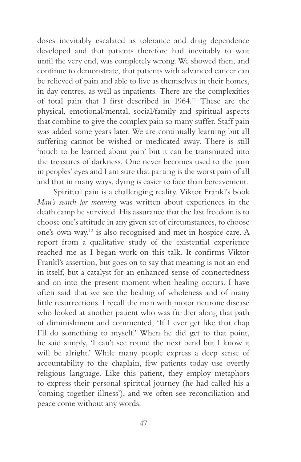doses inevitably escalated as tolerance and drug dependence developed and that patients therefore had inevitably to wait until the very end, was completely wrong. We showed then, and continue to demonstrate, that patients with advanced cancer can be relieved of pain and able to live as themselves in their homes, in day centres, as well as inpatients. There are the complexities of total pain that I first described in 1964.11 These are the physical, emotional/mental, social/family and spiritual aspects that combine to give the complex pain so many suffer. Staff pain was added some years later. We are continually learning but all suffering cannot be wished or medicated away. There is still 'much to be learned about pain' but it can be transmuted into the treasures of darkness. One never becomes used to the pain in peoples' eyes and I am sure that parting is the worst pain of all and that in many ways, dying is easier to face than bereavement.

Spiritual pain is a challenging reality. Viktor Frankl's book *Man's search for meaning* was written about experiences in the death camp he survived. His assurance that the last freedom is to choose one's attitude in any given set of circumstances, to choose one's own way,12 is also recognised and met in hospice care. A report from a qualitative study of the existential experience reached me as I began work on this talk. It confirms Viktor Frankl's assertion, but goes on to say that meaning is not an end in itself, but a catalyst for an enhanced sense of connectedness and on into the present moment when healing occurs. I have often said that we see the healing of wholeness and of many little resurrections. I recall the man with motor neurone disease who looked at another patient who was further along that path of diminishment and commented, 'If I ever get like that chap I'll do something to myself.' When he did get to that point, he said simply, 'I can't see round the next bend but I know it will be alright.' While many people express a deep sense of accountability to the chaplain, few patients today use overtly religious language. Like this patient, they employ metaphors to express their personal spiritual journey (he had called his a 'coming together illness'), and we often see reconciliation and peace come without any words.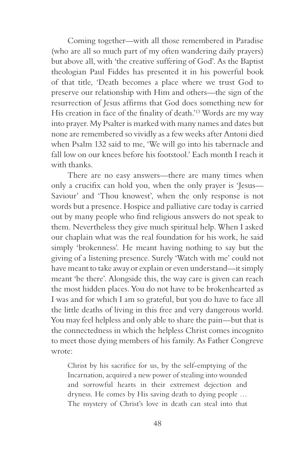Coming together—with all those remembered in Paradise (who are all so much part of my often wandering daily prayers) but above all, with 'the creative suffering of God'. As the Baptist theologian Paul Fiddes has presented it in his powerful book of that title, 'Death becomes a place where we trust God to preserve our relationship with Him and others—the sign of the resurrection of Jesus affirms that God does something new for His creation in face of the finality of death.'13 Words are my way into prayer. My Psalter is marked with many names and dates but none are remembered so vividly as a few weeks after Antoni died when Psalm 132 said to me, 'We will go into his tabernacle and fall low on our knees before his footstool.' Each month I reach it with thanks.

There are no easy answers—there are many times when only a crucifix can hold you, when the only prayer is 'Jesus— Saviour' and 'Thou knowest', when the only response is not words but a presence. Hospice and palliative care today is carried out by many people who find religious answers do not speak to them. Nevertheless they give much spiritual help. When I asked our chaplain what was the real foundation for his work, he said simply 'brokenness'. He meant having nothing to say but the giving of a listening presence. Surely 'Watch with me' could not have meant to take away or explain or even understand—it simply meant 'be there'. Alongside this, the way care is given can reach the most hidden places. You do not have to be brokenhearted as I was and for which I am so grateful, but you do have to face all the little deaths of living in this free and very dangerous world. You may feel helpless and only able to share the pain—but that is the connectedness in which the helpless Christ comes incognito to meet those dying members of his family. As Father Congreve wrote:

Christ by his sacrifice for us, by the self-emptying of the Incarnation, acquired a new power of stealing into wounded and sorrowful hearts in their extremest dejection and dryness. He comes by His saving death to dying people … The mystery of Christ's love in death can steal into that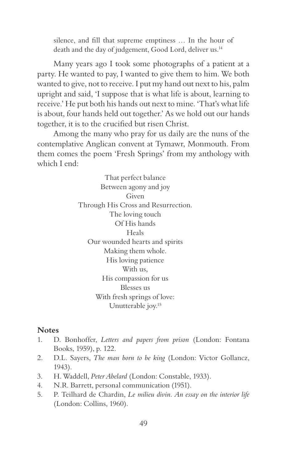silence, and fill that supreme emptiness … In the hour of death and the day of judgement, Good Lord, deliver us.14

Many years ago I took some photographs of a patient at a party. He wanted to pay, I wanted to give them to him. We both wanted to give, not to receive. I put my hand out next to his, palm upright and said, 'I suppose that is what life is about, learning to receive.' He put both his hands out next to mine. 'That's what life is about, four hands held out together.' As we hold out our hands together, it is to the crucified but risen Christ.

Among the many who pray for us daily are the nuns of the contemplative Anglican convent at Tymawr, Monmouth. From them comes the poem 'Fresh Springs' from my anthology with which I end:

> That perfect balance Between agony and joy Given Through His Cross and Resurrection. The loving touch Of His hands Heals Our wounded hearts and spirits Making them whole. His loving patience With us. His compassion for us Blesses us With fresh springs of love: Unutterable joy.15

#### **Notes**

- 1. D. Bonhoffer, *Letters and papers from prison* (London: Fontana Books, 1959), p. 122.
- 2. D.L. Sayers, *The man born to be king* (London: Victor Gollancz, 1943).
- 3. H. Waddell, *Peter Abelard* (London: Constable, 1933).
- 4. N.R. Barrett, personal communication (1951).
- 5. P. Teilhard de Chardin, *Le milieu divin. An essay on the interior life* (London: Collins, 1960).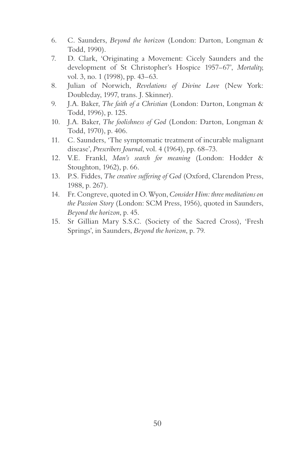- 6. C. Saunders, *Beyond the horizon* (London: Darton, Longman & Todd, 1990).
- 7. D. Clark, 'Originating a Movement: Cicely Saunders and the development of St Christopher's Hospice 1957–67', *Mortality*, vol. 3, no. 1 (1998), pp. 43–63.
- 8. Julian of Norwich, *Revelations of Divine Love* (New York: Doubleday, 1997, trans. J. Skinner).
- 9. J.A. Baker, *The faith of a Christian* (London: Darton, Longman & Todd, 1996), p. 125.
- 10. J.A. Baker, *The foolishness of God* (London: Darton, Longman & Todd, 1970), p. 406.
- 11. C. Saunders, 'The symptomatic treatment of incurable malignant disease', *Prescribers Journal*, vol. 4 (1964), pp. 68–73.
- 12. V.E. Frankl, *Man's search for meaning* (London: Hodder & Stoughton, 1962), p. 66.
- 13. P.S. Fiddes, *The creative suffering of God* (Oxford, Clarendon Press, 1988, p. 267).
- 14. Fr. Congreve, quoted in O. Wyon, *Consider Him: three meditations on the Passion Story* (London: SCM Press, 1956), quoted in Saunders, *Beyond the horizon*, p. 45.
- 15. Sr Gillian Mary S.S.C. (Society of the Sacred Cross), 'Fresh Springs', in Saunders, *Beyond the horizon*, p. 79.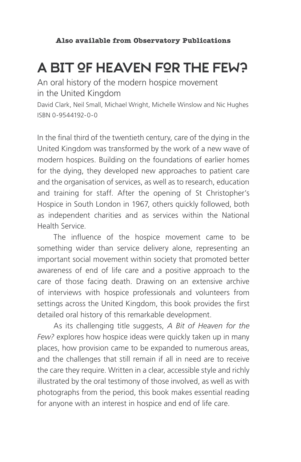**Also available from Observatory Publications**

## A Bit of Heaven For The Few?

An oral history of the modern hospice movement in the United Kingdom

David Clark, Neil Small, Michael Wright, Michelle Winslow and Nic Hughes ISBN 0-9544192-0-0

In the final third of the twentieth century, care of the dying in the United Kingdom was transformed by the work of a new wave of modern hospices. Building on the foundations of earlier homes for the dying, they developed new approaches to patient care and the organisation of services, as well as to research, education and training for staff. After the opening of St Christopher's Hospice in South London in 1967, others quickly followed, both as independent charities and as services within the National Health Service.

The influence of the hospice movement came to be something wider than service delivery alone, representing an important social movement within society that promoted better awareness of end of life care and a positive approach to the care of those facing death. Drawing on an extensive archive of interviews with hospice professionals and volunteers from settings across the United Kingdom, this book provides the first detailed oral history of this remarkable development.

As its challenging title suggests, *A Bit of Heaven for the Few?* explores how hospice ideas were quickly taken up in many places, how provision came to be expanded to numerous areas, and the challenges that still remain if all in need are to receive the care they require. Written in a clear, accessible style and richly illustrated by the oral testimony of those involved, as well as with photographs from the period, this book makes essential reading for anyone with an interest in hospice and end of life care.